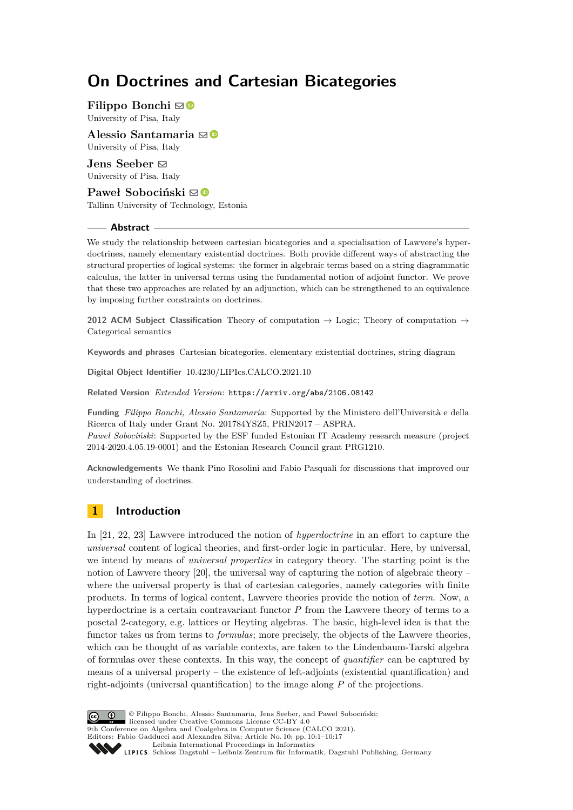# **On Doctrines and Cartesian Bicategories**

**Filippo Bonchi**  $\boxdot$  **■** University of Pisa, Italy

**Alessio Santamaria** ⊠<sup>D</sup> University of Pisa, Italy

**Jens Seeber** ⊠ University of Pisa, Italy

**Paweł Sobociński** ⊠<sup>®</sup> Tallinn University of Technology, Estonia

## **Abstract**

We study the relationship between cartesian bicategories and a specialisation of Lawvere's hyperdoctrines, namely elementary existential doctrines. Both provide different ways of abstracting the structural properties of logical systems: the former in algebraic terms based on a string diagrammatic calculus, the latter in universal terms using the fundamental notion of adjoint functor. We prove that these two approaches are related by an adjunction, which can be strengthened to an equivalence by imposing further constraints on doctrines.

**2012 ACM Subject Classification** Theory of computation → Logic; Theory of computation → Categorical semantics

**Keywords and phrases** Cartesian bicategories, elementary existential doctrines, string diagram

**Digital Object Identifier** [10.4230/LIPIcs.CALCO.2021.10](https://doi.org/10.4230/LIPIcs.CALCO.2021.10)

**Related Version** *Extended Version*: <https://arxiv.org/abs/2106.08142>

**Funding** *Filippo Bonchi, Alessio Santamaria*: Supported by the Ministero dell'Università e della Ricerca of Italy under Grant No. 201784YSZ5, PRIN2017 – ASPRA. *Paweł Sobociński*: Supported by the ESF funded Estonian IT Academy research measure (project

2014-2020.4.05.19-0001) and the Estonian Research Council grant PRG1210.

**Acknowledgements** We thank Pino Rosolini and Fabio Pasquali for discussions that improved our understanding of doctrines.

# **1 Introduction**

In [\[21,](#page-16-0) [22,](#page-16-1) [23\]](#page-16-2) Lawvere introduced the notion of *hyperdoctrine* in an effort to capture the *universal* content of logical theories, and first-order logic in particular. Here, by universal, we intend by means of *universal properties* in category theory. The starting point is the notion of Lawvere theory [\[20\]](#page-16-3), the universal way of capturing the notion of algebraic theory – where the universal property is that of cartesian categories, namely categories with finite products. In terms of logical content, Lawvere theories provide the notion of *term*. Now, a hyperdoctrine is a certain contravariant functor *P* from the Lawvere theory of terms to a posetal 2-category, e.g. lattices or Heyting algebras. The basic, high-level idea is that the functor takes us from terms to *formulas*; more precisely, the objects of the Lawvere theories, which can be thought of as variable contexts, are taken to the Lindenbaum-Tarski algebra of formulas over these contexts. In this way, the concept of *quantifier* can be captured by means of a universal property – the existence of left-adjoints (existential quantification) and right-adjoints (universal quantification) to the image along *P* of the projections.



© Filippo Bonchi, Alessio Santamaria, Jens Seeber, and Paweł Sobociński;  $\boxed{6}$   $\boxed{0}$ licensed under Creative Commons License CC-BY 4.0 9th Conference on Algebra and Coalgebra in Computer Science (CALCO 2021). Editors: Fabio Gadducci and Alexandra Silva; Article No. 10; pp. 10:1–10:17 [Leibniz International Proceedings in Informatics](https://www.dagstuhl.de/lipics/) Leibniz international Floretungs in missimosische Publishing, Germany<br>LIPICS [Schloss Dagstuhl – Leibniz-Zentrum für Informatik, Dagstuhl Publishing, Germany](https://www.dagstuhl.de)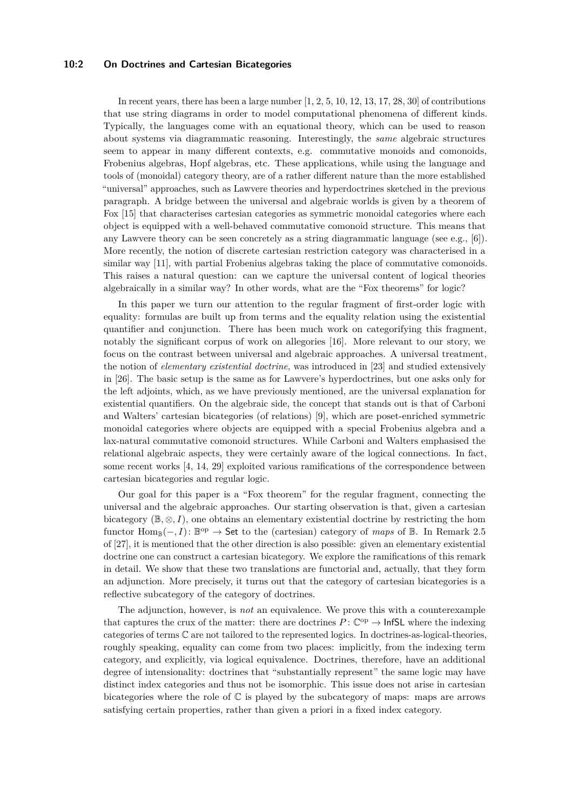#### **10:2 On Doctrines and Cartesian Bicategories**

In recent years, there has been a large number  $[1, 2, 5, 10, 12, 13, 17, 28, 30]$  $[1, 2, 5, 10, 12, 13, 17, 28, 30]$  $[1, 2, 5, 10, 12, 13, 17, 28, 30]$  $[1, 2, 5, 10, 12, 13, 17, 28, 30]$  $[1, 2, 5, 10, 12, 13, 17, 28, 30]$  $[1, 2, 5, 10, 12, 13, 17, 28, 30]$  $[1, 2, 5, 10, 12, 13, 17, 28, 30]$  $[1, 2, 5, 10, 12, 13, 17, 28, 30]$  $[1, 2, 5, 10, 12, 13, 17, 28, 30]$  $[1, 2, 5, 10, 12, 13, 17, 28, 30]$  $[1, 2, 5, 10, 12, 13, 17, 28, 30]$  $[1, 2, 5, 10, 12, 13, 17, 28, 30]$  $[1, 2, 5, 10, 12, 13, 17, 28, 30]$  $[1, 2, 5, 10, 12, 13, 17, 28, 30]$  $[1, 2, 5, 10, 12, 13, 17, 28, 30]$  $[1, 2, 5, 10, 12, 13, 17, 28, 30]$  $[1, 2, 5, 10, 12, 13, 17, 28, 30]$  of contributions that use string diagrams in order to model computational phenomena of different kinds. Typically, the languages come with an equational theory, which can be used to reason about systems via diagrammatic reasoning. Interestingly, the *same* algebraic structures seem to appear in many different contexts, e.g. commutative monoids and comonoids, Frobenius algebras, Hopf algebras, etc. These applications, while using the language and tools of (monoidal) category theory, are of a rather different nature than the more established "universal" approaches, such as Lawvere theories and hyperdoctrines sketched in the previous paragraph. A bridge between the universal and algebraic worlds is given by a theorem of Fox [\[15\]](#page-16-7) that characterises cartesian categories as symmetric monoidal categories where each object is equipped with a well-behaved commutative comonoid structure. This means that any Lawvere theory can be seen concretely as a string diagrammatic language (see e.g., [\[6\]](#page-15-6)). More recently, the notion of discrete cartesian restriction category was characterised in a similar way [\[11\]](#page-15-7), with partial Frobenius algebras taking the place of commutative comonoids. This raises a natural question: can we capture the universal content of logical theories algebraically in a similar way? In other words, what are the "Fox theorems" for logic?

In this paper we turn our attention to the regular fragment of first-order logic with equality: formulas are built up from terms and the equality relation using the existential quantifier and conjunction. There has been much work on categorifying this fragment, notably the significant corpus of work on allegories [\[16\]](#page-16-8). More relevant to our story, we focus on the contrast between universal and algebraic approaches. A universal treatment, the notion of *elementary existential doctrine*, was introduced in [\[23\]](#page-16-2) and studied extensively in [\[26\]](#page-16-9). The basic setup is the same as for Lawvere's hyperdoctrines, but one asks only for the left adjoints, which, as we have previously mentioned, are the universal explanation for existential quantifiers. On the algebraic side, the concept that stands out is that of Carboni and Walters' cartesian bicategories (of relations) [\[9\]](#page-15-8), which are poset-enriched symmetric monoidal categories where objects are equipped with a special Frobenius algebra and a lax-natural commutative comonoid structures. While Carboni and Walters emphasised the relational algebraic aspects, they were certainly aware of the logical connections. In fact, some recent works [\[4,](#page-15-9) [14,](#page-16-10) [29\]](#page-16-11) exploited various ramifications of the correspondence between cartesian bicategories and regular logic.

Our goal for this paper is a "Fox theorem" for the regular fragment, connecting the universal and the algebraic approaches. Our starting observation is that, given a cartesian bicategory  $(\mathbb{B}, \otimes, I)$ , one obtains an elementary existential doctrine by restricting the hom functor  $\text{Hom}_{\mathbb{B}}(-, I)$ :  $\mathbb{B}^{\text{op}} \to$  Set to the (cartesian) category of *maps* of  $\mathbb{B}$ . In Remark 2.5 of [\[27\]](#page-16-12), it is mentioned that the other direction is also possible: given an elementary existential doctrine one can construct a cartesian bicategory. We explore the ramifications of this remark in detail. We show that these two translations are functorial and, actually, that they form an adjunction. More precisely, it turns out that the category of cartesian bicategories is a reflective subcategory of the category of doctrines.

The adjunction, however, is *not* an equivalence. We prove this with a counterexample that captures the crux of the matter: there are doctrines  $P: \mathbb{C}^{op} \to \text{InfSL}$  where the indexing categories of terms C are not tailored to the represented logics. In doctrines-as-logical-theories, roughly speaking, equality can come from two places: implicitly, from the indexing term category, and explicitly, via logical equivalence. Doctrines, therefore, have an additional degree of intensionality: doctrines that "substantially represent" the same logic may have distinct index categories and thus not be isomorphic. This issue does not arise in cartesian bicategories where the role of C is played by the subcategory of maps: maps are arrows satisfying certain properties, rather than given a priori in a fixed index category.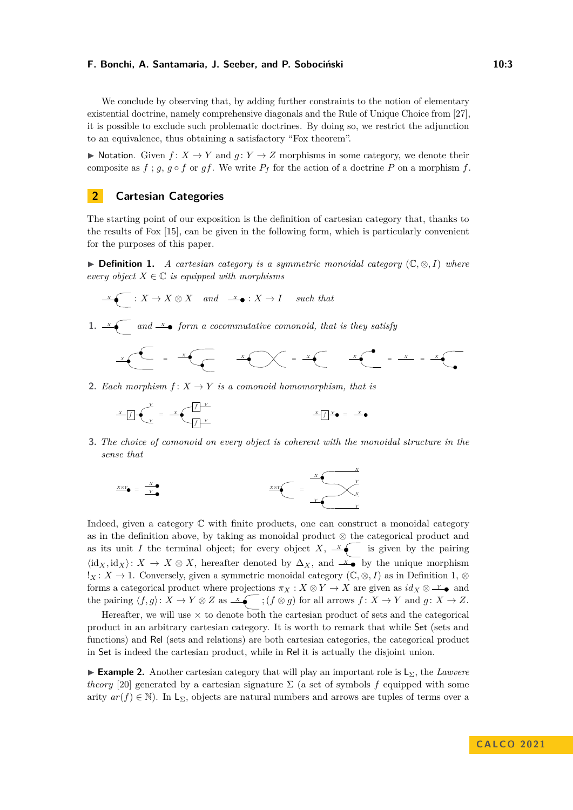We conclude by observing that, by adding further constraints to the notion of elementary existential doctrine, namely comprehensive diagonals and the Rule of Unique Choice from [\[27\]](#page-16-12), it is possible to exclude such problematic doctrines. By doing so, we restrict the adjunction to an equivalence, thus obtaining a satisfactory "Fox theorem".

▶ Notation. Given  $f: X \to Y$  and  $g: Y \to Z$  morphisms in some category, we denote their composite as  $f$ ;  $g$ ,  $g \circ f$  or  $gf$ . We write  $P_f$  for the action of a doctrine  $P$  on a morphism  $f$ .

# **2 Cartesian Categories**

The starting point of our exposition is the definition of cartesian category that, thanks to the results of Fox [\[15\]](#page-16-7), can be given in the following form, which is particularly convenient for the purposes of this paper.

<span id="page-2-0"></span>▶ **Definition 1.** *A cartesian category is a symmetric monoidal category* (C*,* ⊗*, I*) *where every object*  $X \in \mathbb{C}$  *is equipped with morphisms* 

$$
\xrightarrow{\ x\ } (X \to X \otimes X \quad and \quad \xrightarrow{x \ } (X \to I \quad such \ that
$$

**1.**  $\overline{X}$  and  $\overline{X}$  form a cocommutative comonoid, that is they satisfy

*<sup>X</sup>* = *<sup>X</sup> <sup>X</sup>* <sup>=</sup> *<sup>X</sup> <sup>X</sup>* <sup>=</sup> *<sup>X</sup>* <sup>=</sup> *<sup>X</sup>*

**2.** *Each morphism*  $f: X \rightarrow Y$  *is a comonoid homomorphism, that is* 

$$
x f(x) = x \left( \frac{f(x)}{f(x)} \right)^{x} = x \cdot \frac{x}{f(x)} = x \cdot \frac{x}{f(x)} = x \cdot \frac{x}{f(x)} = x \cdot \frac{x}{f(x)} = x \cdot \frac{x}{f(x)} = x \cdot \frac{x}{f(x)} = x \cdot \frac{x}{f(x)} = x \cdot \frac{x}{f(x)} = x \cdot \frac{x}{f(x)} = x \cdot \frac{x}{f(x)} = x \cdot \frac{x}{f(x)} = x \cdot \frac{x}{f(x)} = x \cdot \frac{x}{f(x)} = x \cdot \frac{x}{f(x)} = x \cdot \frac{x}{f(x)} = x \cdot \frac{x}{f(x)} = x \cdot \frac{x}{f(x)} = x \cdot \frac{x}{f(x)} = x \cdot \frac{x}{f(x)} = x \cdot \frac{x}{f(x)} = x \cdot \frac{x}{f(x)} = x \cdot \frac{x}{f(x)} = x \cdot \frac{x}{f(x)} = x \cdot \frac{x}{f(x)} = x \cdot \frac{x}{f(x)} = x \cdot \frac{x}{f(x)} = x \cdot \frac{x}{f(x)} = x \cdot \frac{x}{f(x)} = x \cdot \frac{x}{f(x)} = x \cdot \frac{x}{f(x)} = x \cdot \frac{x}{f(x)} = x \cdot \frac{x}{f(x)} = x \cdot \frac{x}{f(x)} = x \cdot \frac{x}{f(x)} = x \cdot \frac{x}{f(x)} = x \cdot \frac{x}{f(x)} = x \cdot \frac{x}{f(x)} = x \cdot \frac{x}{f(x)} = x \cdot \frac{x}{f(x)} = x \cdot \frac{x}{f(x)} = x \cdot \frac{x}{f(x)} = x \cdot \frac{x}{f(x)} = x \cdot \frac{x}{f(x)} = x \cdot \frac{x}{f(x)} = x \cdot \frac{x}{f(x)} = x \cdot \frac{x}{f(x)} = x \cdot \frac{x}{f(x)} = x \cdot \frac{x}{f(x)} = x \cdot \frac{x}{f(x)} = x \cdot \frac{x}{f(x)} = x \cdot \frac{x}{f(x)} = x \cdot \frac{x}{f(x)} = x \cdot \frac{x}{f(x)} = x \cdot \frac{x}{f(x)} = x \cdot \frac{x}{f(x)} = x \cdot \frac{x}{f(x)} = x \cdot \frac{x}{f(x)} = x \cdot \frac{x}{f(x)} = x \cdot \frac{x}{f(x)} = x \cdot \frac{x}{f(x)} = x \cdot \frac{x}{f(x)} = x \cdot \frac{x}{f(x)} = x \cdot \frac{x}{f(x)} = x \cdot \frac{x}{f(x)} = x \cdot \frac{x}{f(x)} = x \cdot \frac{x}{f(x)} = x \cdot \frac{x}{
$$

**3.** *The choice of comonoid on every object is coherent with the monoidal structure in the sense that*

$$
\frac{X \otimes Y}{Y} = \frac{X}{Y}
$$

Indeed, given a category C with finite products, one can construct a monoidal category as in the definition above, by taking as monoidal product ⊗ the categorical product and as its unit *I* the terminal object; for every object *X*,  $\overline{X}$  is given by the pairing  $\langle id_X, id_X \rangle: X \to X \otimes X$ , hereafter denoted by  $\Delta_X$ , and  $\mathscr{L}$  by the unique morphism *<sup>1</sup>X* : *X* → 1. Conversely, given a symmetric monoidal category  $(\mathbb{C}, \otimes, I)$  as in Definition [1,](#page-2-0)  $\otimes$ forms a categorical product where projections  $\pi_X : X \otimes Y \to X$  are given as  $id_X \otimes \perp^{\vee}$  and the pairing  $\langle f, g \rangle: X \to Y \otimes Z$  as  $\overline{X}$ ;  $(f \otimes g)$  for all arrows  $f: X \to Y$  and  $g: X \to Z$ .

Hereafter, we will use  $\times$  to denote both the cartesian product of sets and the categorical product in an arbitrary cartesian category. It is worth to remark that while Set (sets and functions) and Rel (sets and relations) are both cartesian categories, the categorical product in Set is indeed the cartesian product, while in Rel it is actually the disjoint union.

**► Example 2.** Another cartesian category that will play an important role is L<sub>Σ</sub>, the *Lawvere theory* [\[20\]](#page-16-3) generated by a cartesian signature  $\Sigma$  (a set of symbols f equipped with some arity  $ar(f) \in \mathbb{N}$ ). In L<sub>Σ</sub>, objects are natural numbers and arrows are tuples of terms over a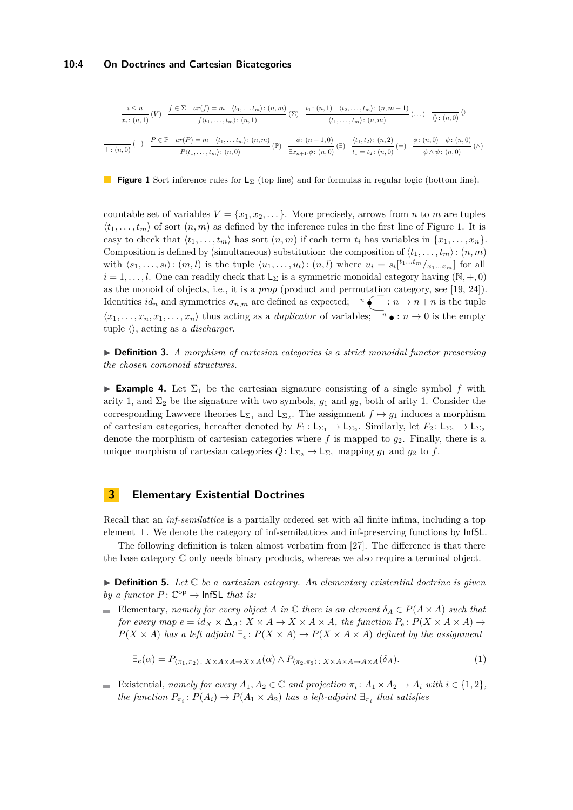#### **10:4 On Doctrines and Cartesian Bicategories**

<span id="page-3-0"></span>
$$
\frac{i \le n}{x_i \colon (n,1)}(V) \quad \frac{f \in \Sigma \quad ar(f) = m \quad \langle t_1, \dots, t_m \rangle : (n,m)}{f(t_1, \dots, t_m) \colon (n,1)} \quad (\Sigma) \quad \frac{t_1 \colon (n,1) \quad \langle t_2, \dots, t_m \rangle : (n,m-1)}{\langle t_1, \dots, t_m \rangle : (n,m)} \langle \dots \rangle \quad \frac{}{\langle \rangle : (n,0)}(V) \quad \frac{}{\langle t_1, \dots, t_m \rangle : (n,0)} \langle t_1, \dots, t_m \rangle : (n,0)}{\Gamma : (n,0)} \quad (\Gamma) \quad \frac{P \in \mathbb{P} \quad ar(P) = m \quad \langle t_1, \dots, t_m \rangle : (n,m)}{P(t_1, \dots, t_m) \colon (n,0)} \quad (\mathbb{P}) \quad \frac{\phi \colon (n+1,0)}{\exists x_{n+1}, \phi \colon (n,0)} \quad (\exists) \quad \frac{\langle t_1, t_2 \rangle : (n,2)}{t_1 = t_2 \colon (n,0)} \quad (\Rightarrow \quad \phi \land \psi \colon (n,0)}(\Lambda)
$$

**Figure 1** Sort inference rules for L<sup>Σ</sup> (top line) and for formulas in regular logic (bottom line).

countable set of variables  $V = \{x_1, x_2, \dots\}$ . More precisely, arrows from *n* to *m* are tuples  $\langle t_1, \ldots, t_m \rangle$  of sort  $(n, m)$  as defined by the inference rules in the first line of Figure [1.](#page-3-0) It is easy to check that  $\langle t_1, \ldots, t_m \rangle$  has sort  $(n, m)$  if each term  $t_i$  has variables in  $\{x_1, \ldots, x_n\}$ . Composition is defined by (simultaneous) substitution: the composition of  $\langle t_1, \ldots, t_m \rangle$ :  $(n, m)$ with  $\langle s_1,\ldots,s_l\rangle$ :  $(m,l)$  is the tuple  $\langle u_1,\ldots,u_l\rangle$ :  $(n,l)$  where  $u_i = s_i[t_1...t_m/_{x_1...x_m}]$  for all  $i = 1, \ldots, l$ . One can readily check that  $L_{\Sigma}$  is a symmetric monoidal category having  $(\mathbb{N}, +, 0)$ as the monoid of objects, i.e., it is a *prop* (product and permutation category, see [\[19,](#page-16-13) [24\]](#page-16-14)). Identities  $id_n$  and symmetries  $\sigma_{n,m}$  are defined as expected;  $\sigma_{n,m}$  :  $n \to n + n$  is the tuple  $\langle x_1, \ldots, x_n, x_1, \ldots, x_n \rangle$  thus acting as a *duplicator* of variables;  $\overline{a}$   $\bullet : n \to 0$  is the empty tuple ⟨⟩, acting as a *discharger*.

▶ **Definition 3.** *A morphism of cartesian categories is a strict monoidal functor preserving the chosen comonoid structures.*

<span id="page-3-3"></span>**Example 4.** Let  $\Sigma_1$  be the cartesian signature consisting of a single symbol f with arity 1, and  $\Sigma_2$  be the signature with two symbols,  $g_1$  and  $g_2$ , both of arity 1. Consider the corresponding Lawvere theories  $\mathsf{L}_{\Sigma_1}$  and  $\mathsf{L}_{\Sigma_2}$ . The assignment  $f \mapsto g_1$  induces a morphism of cartesian categories, hereafter denoted by  $F_1: \mathsf{L}_{\Sigma_1} \to \mathsf{L}_{\Sigma_2}$ . Similarly, let  $F_2: \mathsf{L}_{\Sigma_1} \to \mathsf{L}_{\Sigma_2}$ denote the morphism of cartesian categories where *f* is mapped to *g*2. Finally, there is a unique morphism of cartesian categories  $Q: \mathsf{L}_{\Sigma_2} \to \mathsf{L}_{\Sigma_1}$  mapping  $g_1$  and  $g_2$  to  $f$ .

## **3 Elementary Existential Doctrines**

Recall that an *inf-semilattice* is a partially ordered set with all finite infima, including a top element ⊤. We denote the category of inf-semilattices and inf-preserving functions by InfSL.

The following definition is taken almost verbatim from [\[27\]](#page-16-12). The difference is that there the base category C only needs binary products, whereas we also require a terminal object.

<span id="page-3-2"></span> $\triangleright$  **Definition 5.** Let  $\mathbb C$  *be a cartesian category. An elementary existential doctrine is given by a functor*  $P: \mathbb{C}^{op} \to \text{InfSL}$  *that is:* 

Elementary*, namely for every object A* in  $\mathbb C$  *there is an element*  $\delta_A \in P(A \times A)$  *such that for every map*  $e = id_X \times \Delta_A$ :  $X \times A \rightarrow X \times A \times A$ *, the function*  $P_e$ :  $P(X \times A \times A) \rightarrow$ *P*(*X* × *A*) *has a left adjoint*  $∃<sub>e</sub> : P(X × A) → P(X × A × A)$  *defined by the assignment* 

<span id="page-3-1"></span>
$$
\exists_e(\alpha) = P_{\langle \pi_1, \pi_2 \rangle} : X \times A \times A \to X \times A(\alpha) \land P_{\langle \pi_2, \pi_3 \rangle} : X \times A \times A \to A \times A(\delta_A). \tag{1}
$$

Existential, namely for every  $A_1, A_2 \in \mathbb{C}$  and projection  $\pi_i \colon A_1 \times A_2 \to A_i$  with  $i \in \{1, 2\}$ , *the function*  $P_{\pi_i}: P(A_i) \to P(A_1 \times A_2)$  *has a left-adjoint*  $\exists_{\pi_i}$  *that satisfies*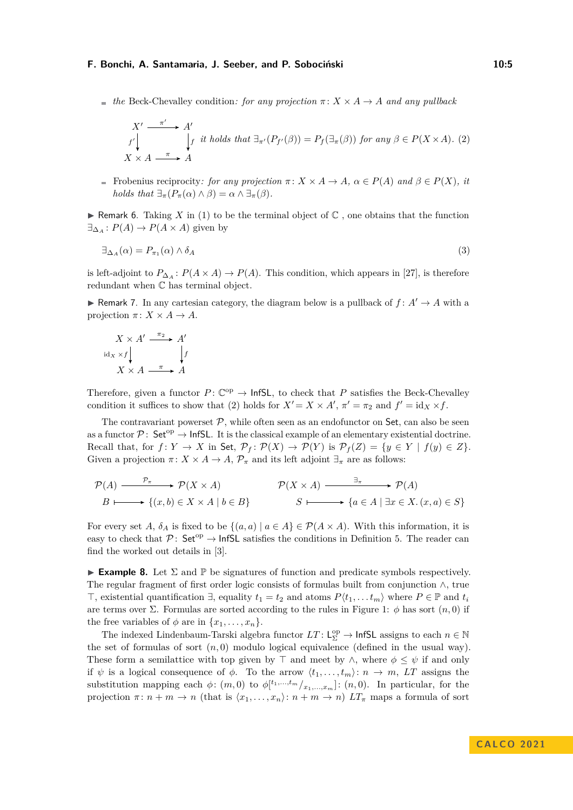$\bullet$  *the* Beck-Chevalley condition: for any projection  $\pi$ :  $X \times A \rightarrow A$  *and any pullback* 

<span id="page-4-0"></span>
$$
X' \xrightarrow{ \pi' \quad} A' \qquad \qquad f \text{ it holds that } \exists_{\pi'} (P_{f'}(\beta)) = P_f(\exists_{\pi} (\beta)) \text{ for any } \beta \in P(X \times A). \tag{2}
$$
  

$$
X \times A \xrightarrow{\pi \quad} A
$$

Frobenius reciprocity: for any projection  $\pi$ :  $X \times A \to A$ ,  $\alpha \in P(A)$  and  $\beta \in P(X)$ , it *holds that*  $\exists_{\pi}(P_{\pi}(\alpha) \wedge \beta) = \alpha \wedge \exists_{\pi}(\beta)$ .

 $\blacktriangleright$  Remark 6. Taking *X* in [\(1\)](#page-3-1) to be the terminal object of  $\mathbb C$ , one obtains that the function  $\exists_{\Delta_A}: P(A) \to P(A \times A)$  given by

$$
\exists_{\Delta_A}(\alpha) = P_{\pi_1}(\alpha) \wedge \delta_A \tag{3}
$$

is left-adjoint to  $P_{\Delta_A}: P(A \times A) \to P(A)$ . This condition, which appears in [\[27\]](#page-16-12), is therefore redundant when C has terminal object.

<span id="page-4-2"></span>▶ Remark 7. In any cartesian category, the diagram below is a pullback of  $f: A' \rightarrow A$  with a projection  $\pi: X \times A \rightarrow A$ .

$$
X \times A' \xrightarrow{\pi_2} A'
$$
  
idx \times f  

$$
X \times A \xrightarrow{\pi} A
$$

Therefore, given a functor  $P: \mathbb{C}^{op} \to \text{InfSL}$ , to check that P satisfies the Beck-Chevalley condition it suffices to show that [\(2\)](#page-4-0) holds for  $X' = X \times A'$ ,  $\pi' = \pi_2$  and  $f' = id_X \times f$ .

The contravariant powerset  $P$ , while often seen as an endofunctor on Set, can also be seen as a functor  $\mathcal{P}$ : Set<sup>op</sup>  $\rightarrow$  InfSL. It is the classical example of an elementary existential doctrine. Recall that, for  $f: Y \to X$  in Set,  $\mathcal{P}_f: \mathcal{P}(X) \to \mathcal{P}(Y)$  is  $\mathcal{P}_f(Z) = \{y \in Y \mid f(y) \in Z\}.$ Given a projection  $\pi: X \times A \to A$ ,  $\mathcal{P}_{\pi}$  and its left adjoint  $\exists_{\pi}$  are as follows:

$$
\mathcal{P}(A) \xrightarrow{\mathcal{P}_{\pi}} \mathcal{P}(X \times A) \qquad \mathcal{P}(X \times A) \xrightarrow{\exists_{\pi}} \mathcal{P}(A)
$$
  

$$
B \longmapsto \{(x, b) \in X \times A \mid b \in B\} \qquad S \longmapsto \{a \in A \mid \exists x \in X. (x, a) \in S\}
$$

For every set *A*,  $\delta_A$  is fixed to be  $\{(a, a) | a \in A\} \in \mathcal{P}(A \times A)$ . With this information, it is easy to check that  $\mathcal{P}$ : Set<sup>op</sup>  $\rightarrow$  InfSL satisfies the conditions in Definition [5.](#page-3-2) The reader can find the worked out details in [\[3\]](#page-15-10).

<span id="page-4-1"></span>**Example 8.** Let  $\Sigma$  and  $\mathbb{P}$  be signatures of function and predicate symbols respectively. The regular fragment of first order logic consists of formulas built from conjunction ∧, true ⊤, existential quantification  $\exists$ , equality  $t_1 = t_2$  and atoms  $P(t_1, \ldots, t_m)$  where  $P \in \mathbb{P}$  and  $t_i$ are terms over  $\Sigma$ . Formulas are sorted according to the rules in Figure [1:](#page-3-0)  $\phi$  has sort  $(n,0)$  if the free variables of  $\phi$  are in  $\{x_1, \ldots, x_n\}$ .

The indexed Lindenbaum-Tarski algebra functor  $LT$ :  $L^{\text{op}}_{\Sigma} \to \text{InfSL}$  assigns to each  $n \in \mathbb{N}$ the set of formulas of sort  $(n, 0)$  modulo logical equivalence (defined in the usual way). These form a semilattice with top given by ⊤ and meet by ∧, where  $\phi \leq \psi$  if and only if  $\psi$  is a logical consequence of  $\phi$ . To the arrow  $\langle t_1, \ldots, t_m \rangle: n \to m$ , LT assigns the substitution mapping each  $\phi$ :  $(m, 0)$  to  $\phi$ <sup>[t<sub>1</sub>,...,t<sub>m</sub></sub> $\phi$ ] (*n*, 0). In particular, for the</sup> projection  $\pi: n + m \to n$  (that is  $\langle x_1, \ldots, x_n \rangle: n + m \to n$ )  $LT_{\pi}$  maps a formula of sort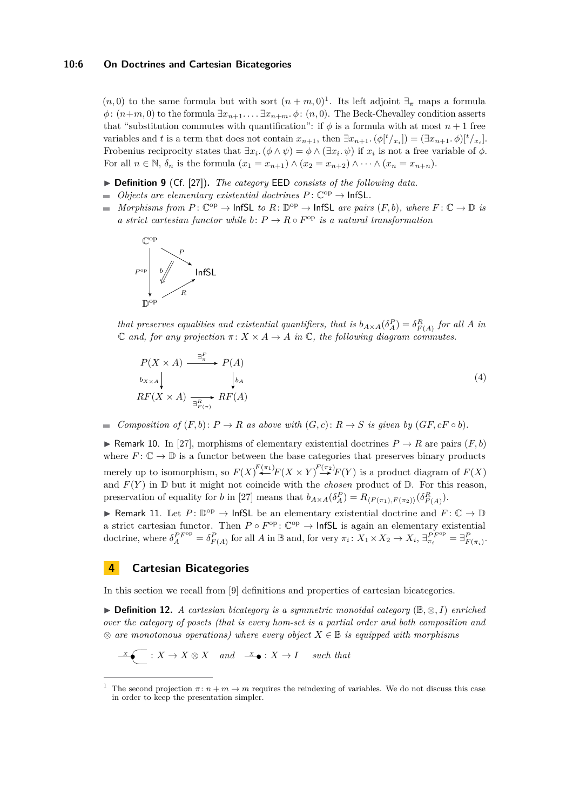$(n,0)$  to the same formula but with sort  $(n+m,0)^{1}$  $(n+m,0)^{1}$  $(n+m,0)^{1}$ . Its left adjoint  $\exists_{\pi}$  maps a formula  $\phi: (n+m, 0)$  to the formula  $\exists x_{n+1}, \ldots \exists x_{n+m}, \phi: (n, 0)$ . The Beck-Chevalley condition asserts that "substitution commutes with quantification": if  $\phi$  is a formula with at most  $n+1$  free variables and *t* is a term that does not contain  $x_{n+1}$ , then  $\exists x_{n+1}$ .  $(\phi[t/x_i]) = (\exists x_{n+1}, \phi[t/x_i])$ . Frobenius reciprocity states that  $\exists x_i$ .  $(\phi \land \psi) = \phi \land (\exists x_i \ldotp \psi)$  if  $x_i$  is not a free variable of  $\phi$ . For all  $n \in \mathbb{N}$ ,  $\delta_n$  is the formula  $(x_1 = x_{n+1}) \wedge (x_2 = x_{n+2}) \wedge \cdots \wedge (x_n = x_{n+n}).$ 

- <span id="page-5-2"></span>▶ **Definition 9** (Cf. [\[27\]](#page-16-12))**.** *The category* EED *consists of the following data.*
- *Objects are elementary existential doctrines*  $P: \mathbb{C}^{op} \to \text{InfSL}.$
- *Morphisms from*  $P: \mathbb{C}^{op} \to \text{InfSL}$  *to*  $R: \mathbb{D}^{op} \to \text{InfSL}$  *are pairs*  $(F, b)$ *, where*  $F: \mathbb{C} \to \mathbb{D}$  *is a strict cartesian functor while*  $b: P \to R \circ F^{\text{op}}$  *is a natural transformation*



*that preserves equalities and existential quantifiers, that is*  $b_{A \times A}(\delta_A^P) = \delta_{F(A)}^R$  *for all A in*  $\mathbb{C}$  *and, for any projection*  $\pi: X \times A \rightarrow A$  *in*  $\mathbb{C}$ *, the following diagram commutes.* 

$$
P(X \times A) \xrightarrow{\exists_{\pi}^P} P(A)
$$
  
\n
$$
b_{X \times A} \downarrow \qquad \qquad b_A
$$
  
\n
$$
RF(X \times A) \xrightarrow{\exists_{F(\pi)}^R} RF(A)
$$
 (4)

*Composition of*  $(F, b)$ :  $P \to R$  *as above with*  $(G, c)$ :  $R \to S$  *is given by*  $(GF, cF \circ b)$ *.*  $\blacksquare$ 

▶ Remark 10. In [\[27\]](#page-16-12), morphisms of elementary existential doctrines  $P \to R$  are pairs  $(F, b)$ where  $F: \mathbb{C} \to \mathbb{D}$  is a functor between the base categories that preserves binary products merely up to isomorphism, so  $F(X) \stackrel{F(\pi_1)}{\leftarrow} F(X \times Y) \stackrel{F(\pi_2)}{\rightarrow} F(Y)$  is a product diagram of  $F(X)$ and  $F(Y)$  in  $D$  but it might not coincide with the *chosen* product of  $D$ . For this reason, preservation of equality for *b* in [\[27\]](#page-16-12) means that  $b_{A\times A}(\delta_A^P) = R_{\langle F(\pi_1), F(\pi_2) \rangle}(\delta_{F(A)}^R)$ .

<span id="page-5-4"></span>▶ Remark 11. Let  $P: \mathbb{D}^{\text{op}} \to \text{InfSL}$  be an elementary existential doctrine and  $F: \mathbb{C} \to \mathbb{D}$ a strict cartesian functor. Then  $P \circ F^{\text{op}}$ :  $\mathbb{C}^{\text{op}} \to$  InfSL is again an elementary existential doctrine, where  $\delta_A^{P F^{op}} = \delta_{F(A)}^P$  for all A in B and, for very  $\pi_i \colon X_1 \times X_2 \to X_i$ ,  $\exists_{\pi_i}^{P F^{op}} = \exists_{F(\pi_i)}^P$ .

# <span id="page-5-3"></span>**4 Cartesian Bicategories**

 $\overline{a}$ 

<span id="page-5-1"></span>In this section we recall from [\[9\]](#page-15-8) definitions and properties of cartesian bicategories.

▶ **Definition 12.** *A cartesian bicategory is a symmetric monoidal category* (B*,* ⊗*, I*) *enriched over the category of posets (that is every hom-set is a partial order and both composition and* ⊗ *are monotonous operations) where every object X* ∈ B *is equipped with morphisms*

$$
\mathbb{X} \left( \qquad : X \to X \otimes X \quad and \quad \mathbb{X} \bullet : X \to I \quad such \ that
$$

<span id="page-5-0"></span>The second projection  $\pi$ :  $n + m \rightarrow m$  requires the reindexing of variables. We do not discuss this case in order to keep the presentation simpler.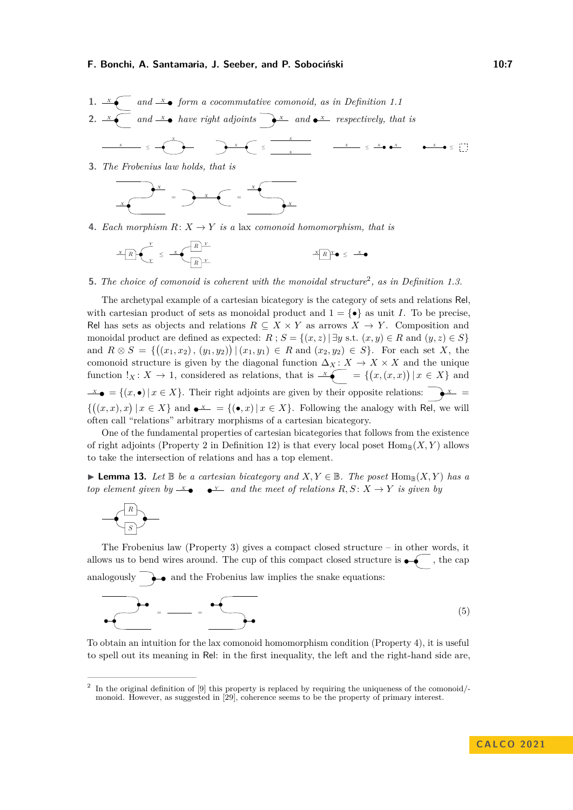<span id="page-6-1"></span>1. 
$$
x \underbrace{\hspace{1cm}}_{x} \quad \text{and } \frac{x}{\longrightarrow} \quad \text{form a cocommutative comonoid, as in Definition 1.1}
$$
  
2.  $x \underbrace{\hspace{1cm}}_{x} \quad \text{and } \frac{x}{\longrightarrow} \quad \text{have right adjoints} \quad \underbrace{\hspace{1cm}}_{x} \quad \text{and } \underbrace{\hspace{1cm}}_{x} \quad \text{respectively, that is}$ 

<span id="page-6-2"></span>**3.** *The Frobenius law holds, that is*

$$
x \leftarrow x
$$

<span id="page-6-3"></span>**4.** *Each morphism*  $R: X \rightarrow Y$  *is a* lax *comonoid homomorphism, that is* 

$$
X_R \leftarrow \sum_{\mathcal{K}}^Y \leq X_R \leftarrow \frac{R \mid Y}{R \mid Y} \qquad X_R \leftarrow \sum_{\mathcal{K}}^Y \leftarrow \sum_{\mathcal{K}}^Y \leftarrow \sum_{\mathcal{K}}^Y \leftarrow \sum_{\mathcal{K}}^Y \leftarrow \sum_{\mathcal{K}}^Y \leftarrow \sum_{\mathcal{K}}^Y \leftarrow \sum_{\mathcal{K}}^Y \leftarrow \sum_{\mathcal{K}}^Y \leftarrow \sum_{\mathcal{K}}^Y \leftarrow \sum_{\mathcal{K}}^Y \leftarrow \sum_{\mathcal{K}}^Y \leftarrow \sum_{\mathcal{K}}^Y \leftarrow \sum_{\mathcal{K}}^Y \leftarrow \sum_{\mathcal{K}}^Y \leftarrow \sum_{\mathcal{K}}^Y \leftarrow \sum_{\mathcal{K}}^Y \leftarrow \sum_{\mathcal{K}}^Y \leftarrow \sum_{\mathcal{K}}^Y \leftarrow \sum_{\mathcal{K}}^Y \leftarrow \sum_{\mathcal{K}}^Y \leftarrow \sum_{\mathcal{K}}^Y \leftarrow \sum_{\mathcal{K}}^Y \leftarrow \sum_{\mathcal{K}}^Y \leftarrow \sum_{\mathcal{K}}^Y \leftarrow \sum_{\mathcal{K}}^Y \leftarrow \sum_{\mathcal{K}}^Y \leftarrow \sum_{\mathcal{K}}^Y \leftarrow \sum_{\mathcal{K}}^Y \leftarrow \sum_{\mathcal{K}}^Y \leftarrow \sum_{\mathcal{K}}^Y \leftarrow \sum_{\mathcal{K}}^Y \leftarrow \sum_{\mathcal{K}}^Y \leftarrow \sum_{\mathcal{K}}^Y \leftarrow \sum_{\mathcal{K}}^Y \leftarrow \sum_{\mathcal{K}}^Y \leftarrow \sum_{\mathcal{K}}^Y \leftarrow \sum_{\mathcal{K}}^Y \leftarrow \sum_{\mathcal{K}}^Y \leftarrow \sum_{\mathcal{K}}^Y \leftarrow \sum_{\mathcal{K}}^Y \leftarrow \sum_{\mathcal{K}}^Y \leftarrow \sum_{\mathcal{K}}^Y \leftarrow \sum_{\mathcal{K}}^Y \leftarrow \sum_{\mathcal{K}}^Y \leftarrow \sum_{\mathcal{K}}^Y \leftarrow \sum_{\mathcal{K}}^Y \leftarrow \sum_{\mathcal{K}}^Y \leftarrow \sum_{\mathcal{K}}^Y \leftarrow \sum_{\mathcal{K}}^Y \leftarrow \sum_{\mathcal{K}}^Y \leftarrow \sum_{\mathcal{K}}^Y \leftarrow
$$

**5.** *The choice of comonoid is coherent with the monoidal structure*[2](#page-6-0) *, as in Definition [1.](#page-2-0)3.*

The archetypal example of a cartesian bicategory is the category of sets and relations Rel, with cartesian product of sets as monoidal product and  $1 = \{ \bullet \}$  as unit *I*. To be precise, Rel has sets as objects and relations  $R \subseteq X \times Y$  as arrows  $X \to Y$ . Composition and monoidal product are defined as expected:  $R$ ;  $S = \{(x, z) | \exists y \text{ s.t. } (x, y) \in R \text{ and } (y, z) \in S\}$ and  $R \otimes S = \{((x_1, x_2), (y_1, y_2)) | (x_1, y_1) \in R \text{ and } (x_2, y_2) \in S\}$ . For each set *X*, the comonoid structure is given by the diagonal function  $\Delta_X$  :  $X \to X \times X$  and the unique function  $!_X \colon X \to 1$ , considered as relations, that is  $\mathscr{L} = \{ (x,(x,x)) \mid x \in X \}$  and  $X \bullet = \{(x, \bullet) | x \in X\}$ . Their right adjoints are given by their opposite relations:  $\bullet X =$  $\{((x, x), x) | x \in X\}$  and  $\bullet^X = \{(\bullet, x) | x \in X\}$ . Following the analogy with Rel, we will often call "relations" arbitrary morphisms of a cartesian bicategory.

One of the fundamental properties of cartesian bicategories that follows from the existence of right adjoints (Property [2](#page-6-1) in Definition [12\)](#page-5-1) is that every local poset  $\text{Hom}_{\mathbb{B}}(X, Y)$  allows to take the intersection of relations and has a top element.

<span id="page-6-4"></span>▶ **Lemma 13.** Let  $\mathbb{B}$  be a cartesian bicategory and  $X, Y \in \mathbb{B}$ . The poset Hom<sub>R</sub> $(X, Y)$  has a *top element given by*  $\mathcal{X}$  **e**  $\mathcal{Y}$  *and the meet of relations*  $R, S: X \to Y$  *is given by* 

<span id="page-6-5"></span>
$$
\begin{array}{c}\n\hline\nR \\
\hline\nS\n\end{array}
$$

The Frobenius law (Property [3\)](#page-6-2) gives a compact closed structure – in other words, it allows us to bend wires around. The cup of this compact closed structure is  $\bullet$  , the cap analogously  $\longrightarrow$  and the Frobenius law implies the snake equations:

$$
\overrightarrow{a} = \frac{1}{\sqrt{1-\frac{1}{2}}}
$$
 (5)

To obtain an intuition for the lax comonoid homomorphism condition (Property [4\)](#page-6-3), it is useful to spell out its meaning in Rel: in the first inequality, the left and the right-hand side are,

<span id="page-6-0"></span><sup>&</sup>lt;sup>2</sup> In the original definition of [\[9\]](#page-15-8) this property is replaced by requiring the uniqueness of the comonoid/monoid. However, as suggested in [\[29\]](#page-16-11), coherence seems to be the property of primary interest.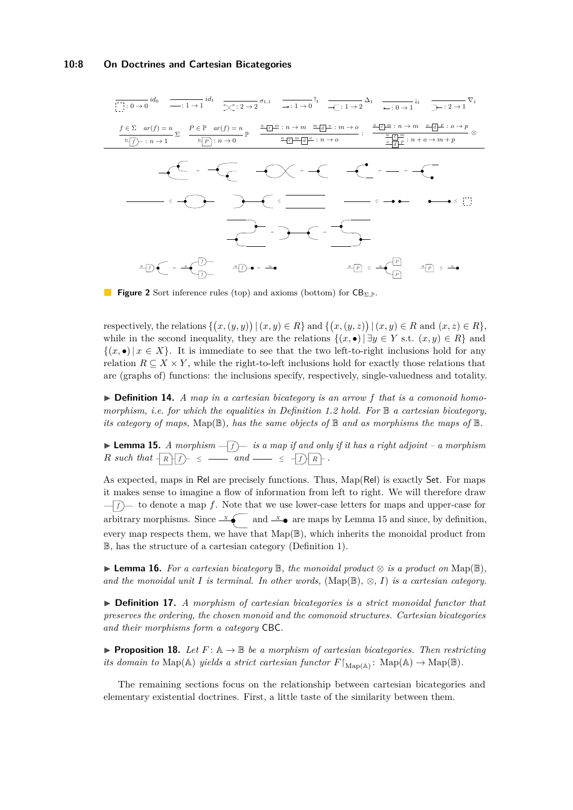<span id="page-7-1"></span>
$$
\frac{f \in \Sigma \quad ar(f) = n}{\frac{n}{D} \cdot n \to 1} id_1 \quad \frac{1}{\sqrt{2} \cdot 2 \to 2} \sigma_{1,1} \quad \frac{1}{\sqrt{2} \cdot 1 \to 0} \sigma_1 \quad \frac{1}{\sqrt{2} \cdot 1 \to 2} \Delta_1 \quad \frac{1}{\sqrt{2} \cdot 1 \to 1} id_1 \quad \frac{1}{\sqrt{2} \cdot 2 \to 1} \nabla_1
$$
\n
$$
f \in \Sigma \quad ar(f) = n \sum_{\frac{n}{D} \mid \frac{1}{D} \mid \frac{1}{D} \mid \frac{1}{D} \to 0} \frac{p}{\sqrt{2}} \frac{p}{\sqrt{2}} \frac{p}{\sqrt{2}} \frac{p}{\sqrt{2}} \frac{p}{\sqrt{2}} \frac{p}{\sqrt{2}} \frac{p}{\sqrt{2}} \frac{p}{\sqrt{2}} \frac{p}{\sqrt{2}} \frac{p}{\sqrt{2}} \frac{p}{\sqrt{2}} \frac{p}{\sqrt{2}} \frac{p}{\sqrt{2}} \frac{p}{\sqrt{2}} \frac{p}{\sqrt{2}} \frac{p}{\sqrt{2}} \frac{p}{\sqrt{2}} \frac{p}{\sqrt{2}} \frac{p}{\sqrt{2}} \frac{p}{\sqrt{2}} \frac{p}{\sqrt{2}} \frac{p}{\sqrt{2}} \frac{p}{\sqrt{2}} \frac{p}{\sqrt{2}} \frac{p}{\sqrt{2}} \frac{p}{\sqrt{2}} \frac{p}{\sqrt{2}} \frac{p}{\sqrt{2}} \frac{p}{\sqrt{2}} \frac{p}{\sqrt{2}} \frac{p}{\sqrt{2}} \frac{p}{\sqrt{2}} \frac{p}{\sqrt{2}} \frac{p}{\sqrt{2}} \frac{p}{\sqrt{2}} \frac{p}{\sqrt{2}} \frac{p}{\sqrt{2}} \frac{p}{\sqrt{2}} \frac{p}{\sqrt{2}} \frac{p}{\sqrt{2}} \frac{p}{\sqrt{2}} \frac{p}{\sqrt{2}} \frac{p}{\sqrt{2}} \frac{p}{\sqrt{2}} \frac{p}{\sqrt{2}} \frac{p}{\sqrt{2}} \frac{p}{\sqrt{2}} \frac{p}{\sqrt{2}} \frac{p}{\sqrt{2}} \frac{p}{\sqrt{2}} \frac{p}{\sqrt{2}} \frac{p}{\sqrt{2}} \frac{p}{\sqrt{2}} \frac{p}{
$$

**Figure 2** Sort inference rules (top) and axioms (bottom) for  $CB_{\Sigma,\mathbb{P}}$ .

respectively, the relations  $\{(x,(y,y)) | (x,y) \in R\}$  and  $\{(x,(y,z)) | (x,y) \in R$  and  $(x,z) \in R\}$ , while in the second inequality, they are the relations  $\{(x, \bullet) | \exists y \in Y \text{ s.t. } (x, y) \in R\}$  and  $\{(x, \bullet) | x \in X\}$ . It is immediate to see that the two left-to-right inclusions hold for any relation  $R \subseteq X \times Y$ , while the right-to-left inclusions hold for exactly those relations that are (graphs of) functions: the inclusions specify, respectively, single-valuedness and totality.

▶ **Definition 14.** *A map in a cartesian bicategory is an arrow f that is a comonoid homomorphism, i.e. for which the equalities in Definition [1.](#page-2-0)2 hold. For* B *a cartesian bicategory, its category of maps,*  $\text{Map}(\mathbb{B})$ *, has the same objects of*  $\mathbb{B}$  *and as morphisms the maps of*  $\mathbb{B}$ *.* 

<span id="page-7-0"></span> $\blacktriangleright$  **Lemma 15.** *A morphism*  $\widehat{-f}$  *f is a map if and only if it has a right adjoint – a morphism R such that <sup>R</sup> <sup>f</sup>* <sup>≤</sup> *and* <sup>≤</sup> *<sup>f</sup> <sup>R</sup> .*

As expected, maps in Rel are precisely functions. Thus, Map(Rel) is exactly Set. For maps it makes sense to imagine a flow of information from left to right. We will therefore draw  $f(f)$  to denote a map f. Note that we use lower-case letters for maps and upper-case for arbitrary morphisms. Since  $\overline{X}$  and  $\overline{X}$  are maps by Lemma [15](#page-7-0) and since, by definition, every map respects them, we have that  $Map(\mathbb{B})$ , which inherits the monoidal product from B, has the structure of a cartesian category (Definition [1\)](#page-2-0).

<span id="page-7-2"></span>▶ **Lemma 16.** *For a cartesian bicategory* B*, the monoidal product* ⊗ *is a product on* Map(B)*,* and the monoidal unit  $I$  is terminal. In other words,  $(\text{Map}(\mathbb{B}), \otimes, I)$  is a cartesian category.

▶ **Definition 17.** *A morphism of cartesian bicategories is a strict monoidal functor that preserves the ordering, the chosen monoid and the comonoid structures. Cartesian bicategories and their morphisms form a category* CBC*.*

<span id="page-7-4"></span>**• Proposition 18.** Let  $F: \mathbb{A} \to \mathbb{B}$  be a morphism of cartesian bicategories. Then restricting *its domain to*  $\text{Map}(\mathbb{A})$  *yields a strict cartesian functor*  $F \upharpoonright_{\text{Map}(\mathbb{A})}$ :  $\text{Map}(\mathbb{A}) \to \text{Map}(\mathbb{B})$ .

<span id="page-7-3"></span>The remaining sections focus on the relationship between cartesian bicategories and elementary existential doctrines. First, a little taste of the similarity between them.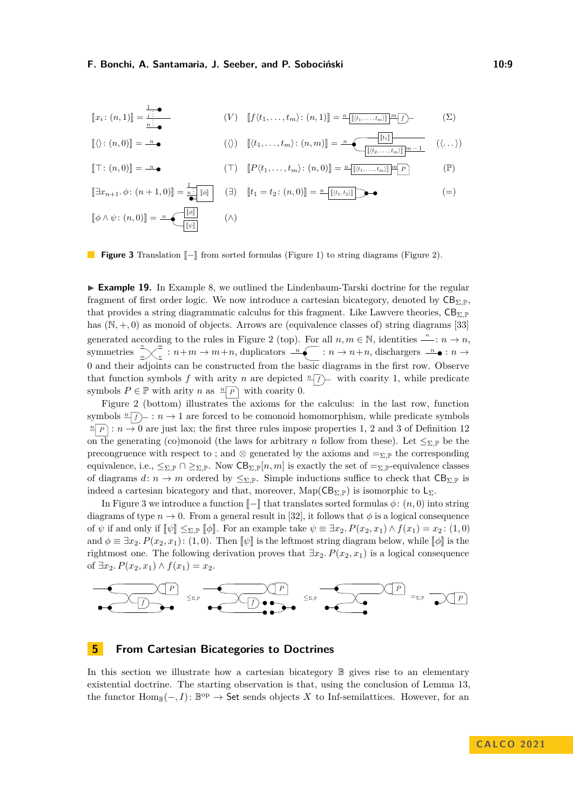<span id="page-8-0"></span>
$$
\llbracket x_i \colon (n,1) \rrbracket = \frac{\frac{1}{i} \cdot \bullet}{\frac{n \cdot \bullet}{\cdot \bullet}} \qquad (V) \quad \llbracket f \langle t_1, \dots, t_m \rangle \colon (n,1) \rrbracket = \frac{n \llbracket (t_1, \dots, t_m) \rrbracket}{\llbracket (t_1, \dots, t_m) \rrbracket} \frac{m \llbracket f \rrbracket}{\llbracket f \rrbracket} \qquad (S)
$$

$$
\llbracket \langle \rangle : (n,0) \rrbracket = \begin{array}{c} n \\ n \end{array} \qquad (\langle \rangle) \quad \llbracket \langle t_1, \ldots, t_m \rangle : (n,m) \rrbracket = \begin{array}{c} n \\ \hline \lbrack \lbrack (t_2, \ldots, t_m) \rbrack \rbrack \end{array} \qquad (\langle \ldots \rangle)
$$

$$
\llbracket \top : (n,0) \rrbracket = \frac{n}{\bullet} \bullet \qquad (\top) \quad \llbracket P(t_1,\ldots,t_m) : (n,0) \rrbracket = \frac{n \llbracket (t_1,\ldots,t_m) \rrbracket^m \llbracket P \rrbracket}{} \qquad (\mathbb{P})
$$

 $[\exists x_{n+1}, \phi \colon (n+1, 0)] = \frac{1}{n} \cdot [\![\phi]\!]$   $(\exists)$   $[\![t_1 = t_2 \colon (n, 0)]\!] = \frac{n}{\cdot} [\![t_1, t_2]\!]$  $[\![\phi \wedge \psi\colon (n,0)]\!] = \mathcal{A}$  $\llbracket \psi \rrbracket$ *n* (∧) (∧)

**Figure 3** Translation  $\llbracket - \rrbracket$  from sorted formulas (Figure [1\)](#page-3-0) to string diagrams (Figure [2\)](#page-7-1).

▶ **Example 19.** In Example [8,](#page-4-1) we outlined the Lindenbaum-Tarski doctrine for the regular fragment of first order logic. We now introduce a cartesian bicategory, denoted by  $CB_{\Sigma}$ <sub>P</sub>, that provides a string diagrammatic calculus for this fragment. Like Lawvere theories,  $CB_{\Sigma,P}$ has  $(N, +, 0)$  as monoid of objects. Arrows are (equivalence classes of) string diagrams [\[33\]](#page-16-15) generated according to the rules in Figure [2](#page-7-1) (top). For all  $n, m \in \mathbb{N}$ , identities  $\frac{n}{n}$ :  $n \to n$ , symmetries  $\sqrt[n]{\phantom{a}}_n$  $\lim_{m\to\infty}$  :  $n+m\to m+n$ , duplicators  $\lim_{n\to\infty}$  :  $n\to n+n$ , dischargers  $\lim_{n\to\infty}$  :  $n\to$ 0 and their adjoints can be constructed from the basic diagrams in the first row. Observe that function symbols f with arity *n* are depicted  $\frac{n}{f}$  with coarity 1, while predicate symbols  $P \in \mathbb{P}$  with arity *n* as  $\sqrt[p]{P}$  with coarity 0.

Figure [2](#page-7-1) (bottom) illustrates the axioms for the calculus: in the last row, function symbols  $\sqrt[n]{f}$  :  $n \to 1$  are forced to be comonoid homomorphism, while predicate symbols  $\frac{n}{P}$  :  $n \to 0$  are just lax; the first three rules impose properties 1, 2 and 3 of Definition [12](#page-5-1) on the generating (co)monoid (the laws for arbitrary *n* follow from these). Let  $\leq_{\Sigma,\mathbb{P}}$  be the precongruence with respect to ; and  $\otimes$  generated by the axioms and  $=_{\Sigma,\mathbb{P}}$  the corresponding equivalence, i.e.,  $\leq_{\Sigma,\mathbb{P}} \cap \geq_{\Sigma,\mathbb{P}}$ . Now  $CB_{\Sigma,\mathbb{P}}[n,m]$  is exactly the set of  $=_{\Sigma,\mathbb{P}}$ -equivalence classes of diagrams  $d: n \to m$  ordered by  $\leq_{\Sigma,\mathbb{P}}$ . Simple inductions suffice to check that  $CB_{\Sigma,\mathbb{P}}$  is indeed a cartesian bicategory and that, moreover,  $\text{Map}(\text{CB}_{\Sigma,\mathbb{P}})$  is isomorphic to  $\text{L}_{\Sigma}$ .

In Figure [3](#page-8-0) we introduce a function  $\llbracket - \rrbracket$  that translates sorted formulas  $\phi$ :  $(n, 0)$  into string diagrams of type  $n \to 0$ . From a general result in [\[32\]](#page-16-16), it follows that  $\phi$  is a logical consequence of  $\psi$  if and only if  $\llbracket \psi \rrbracket \leq_{\Sigma,\mathbb{P}} \llbracket \phi \rrbracket$ . For an example take  $\psi \equiv \exists x_2$ ,  $P(x_2, x_1) \wedge f(x_1) = x_2$ : (1,0) and  $\phi \equiv \exists x_2 \cdot P(x_2, x_1) : (1, 0)$ . Then  $\llbracket \psi \rrbracket$  is the leftmost string diagram below, while  $\llbracket \phi \rrbracket$  is the rightmost one. The following derivation proves that  $\exists x_2 \ldotp P(x_2, x_1)$  is a logical consequence of ∃ $x_2$ *.*  $P(x_2, x_1)$  ∧  $f(x_1) = x_2$ .



### <span id="page-8-1"></span>**5 From Cartesian Bicategories to Doctrines**

In this section we illustrate how a cartesian bicategory  $\mathbb B$  gives rise to an elementary existential doctrine. The starting observation is that, using the conclusion of Lemma [13,](#page-6-4) the functor  $\text{Hom}_{\mathbb{B}}(-, I)$ :  $\mathbb{B}^{\text{op}} \to \text{Set}$  sends objects *X* to Inf-semilattices. However, for an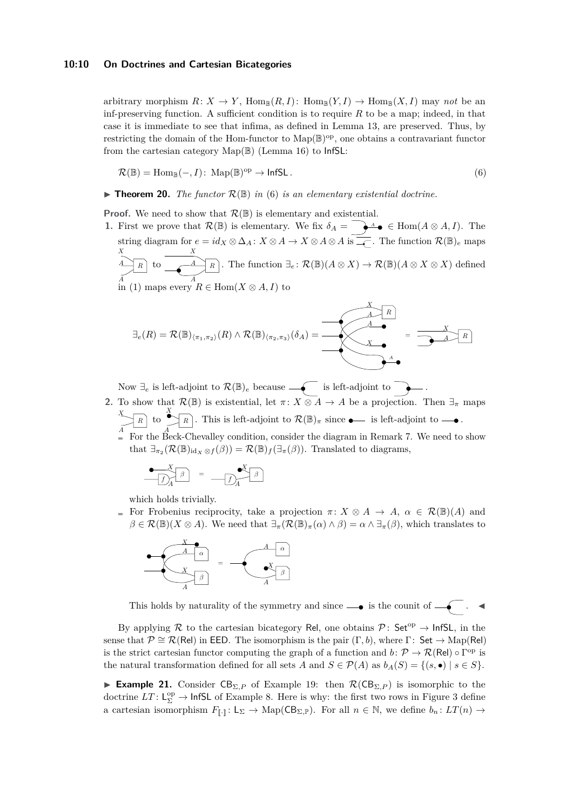arbitrary morphism  $R: X \to Y$ ,  $\text{Hom}_{\mathbb{B}}(R, I)$ :  $\text{Hom}_{\mathbb{B}}(Y, I) \to \text{Hom}_{\mathbb{B}}(X, I)$  may *not* be an inf-preserving function. A sufficient condition is to require *R* to be a map; indeed, in that case it is immediate to see that infima, as defined in Lemma [13,](#page-6-4) are preserved. Thus, by restricting the domain of the Hom-functor to  $\text{Map}(\mathbb{B})^{\text{op}}$ , one obtains a contravariant functor from the cartesian category  $\text{Map}(\mathbb{B})$  (Lemma [16\)](#page-7-2) to  $\text{InfSL}:$ 

<span id="page-9-0"></span>
$$
\mathcal{R}(\mathbb{B}) = \text{Hom}_{\mathbb{B}}(-, I): \text{Map}(\mathbb{B})^{\text{op}} \to \text{InfSL}.
$$
\n(6)

 $\blacktriangleright$  **Theorem 20.** *The functor*  $\mathcal{R}(\mathbb{B})$  *in* [\(6\)](#page-9-0) *is an elementary existential doctrine.* 

**Proof.** We need to show that  $\mathcal{R}(\mathbb{B})$  is elementary and existential.

**1.** First we prove that  $\mathcal{R}(\mathbb{B})$  is elementary. We fix  $\delta_A = \sum_{\mathbf{A}} \mathbf{A} \bullet \in \text{Hom}(A \otimes A, I)$ . The string diagram for  $e = id_X \otimes \Delta_A : X \otimes A \to X \otimes A \otimes A$  is  $\overline{A}$ . The function  $\mathcal{R}(\mathbb{B})_e$  maps  $\overrightarrow{A}$  *R A X* to  $A \uparrow R$ *A X* . The function  $\exists_e : \mathcal{R}(\mathbb{B})(A \otimes X) \to \mathcal{R}(\mathbb{B})(A \otimes X \otimes X)$  defined in [\(1\)](#page-3-1) maps every  $R \in \text{Hom}(X \otimes A, I)$  to

$$
\exists_{e}(R) = \mathcal{R}(\mathbb{B})_{\langle \pi_1, \pi_2 \rangle}(R) \wedge \mathcal{R}(\mathbb{B})_{\langle \pi_2, \pi_3 \rangle}(\delta_A) = \overbrace{\left(\begin{array}{c}\Delta & R \\ \Delta & \bullet \\ \hline \\ \Delta & \bullet\end{array}\right)}^{\mathcal{K}} = \overbrace{\underbrace{\mathcal{R}}^{\mathcal{K}} \mathcal{R}}^{\mathcal{R}}}
$$

Now  $\exists_e$  is left-adjoint to  $\mathcal{R}(\mathbb{B})_e$  because  $\widehat{\longrightarrow}$  is left-adjoint to  $\widehat{\longrightarrow}$ .

**2.** To show that  $\mathcal{R}(\mathbb{B})$  is existential, let  $\pi: X \otimes A \to A$  be a projection. Then  $\exists_{\pi}$  maps *X R A*  $\int_{-\infty}^{\infty}$ *R A* . This is left-adjoint to  $\mathcal{R}(\mathbb{B})_{\pi}$  since  $\bullet$  is left-adjoint to  $\bullet$ . For the Beck-Chevalley condition, consider the diagram in Remark [7.](#page-4-2) We need to show that  $\exists_{\pi_2} (\mathcal{R}(\mathbb{B})_{\text{id}_X \otimes f}(\beta)) = \mathcal{R}(\mathbb{B})_f(\exists_{\pi}(\beta)).$  Translated to diagrams,

$$
\begin{array}{c}\n\bullet \quad X \\
\hline\n\end{array}\n\begin{array}{c}\n\end{array}\n\end{array}\n\begin{array}{c}\n\end{array}\n=\n\begin{array}{c}\n\bullet X \\
\hline\n\end{array}\n\begin{array}{c}\n\end{array}\n\end{array}
$$

which holds trivially.

For Frobenius reciprocity, take a projection  $\pi \colon X \otimes A \to A$ ,  $\alpha \in \mathcal{R}(\mathbb{B})(A)$  and  $\beta \in \mathcal{R}(\mathbb{B})(X \otimes A)$ . We need that  $\exists_{\pi}(\mathcal{R}(\mathbb{B})_{\pi}(\alpha) \wedge \beta) = \alpha \wedge \exists_{\pi}(\beta)$ , which translates to



This holds by naturality of the symmetry and since  $\longrightarrow$  is the counit of  $\longrightarrow$ .

By applying R to the cartesian bicategory Rel, one obtains  $\mathcal{P}$ : Set<sup>op</sup>  $\rightarrow$  InfSL, in the sense that  $\mathcal{P} \cong \mathcal{R}(\text{Rel})$  in EED. The isomorphism is the pair  $(\Gamma, b)$ , where  $\Gamma: \text{Set} \to \text{Map}(\text{Rel})$ is the strict cartesian functor computing the graph of a function and  $b: \mathcal{P} \to \mathcal{R}(\text{Rel}) \circ \Gamma^{\text{op}}$  is the natural transformation defined for all sets *A* and  $S \in \mathcal{P}(A)$  as  $b_A(S) = \{(s, \bullet) \mid s \in S\}.$ 

<span id="page-9-1"></span>**Example 21.** Consider  $CB_{\Sigma,P}$  of Example [19:](#page-7-3) then  $\mathcal{R}(CB_{\Sigma,P})$  is isomorphic to the doctrine  $LT: L^{\text{op}}_{\Sigma} \to \text{InfSL}$  of Example [8.](#page-4-1) Here is why: the first two rows in Figure [3](#page-8-0) define a cartesian isomorphism  $F_{\llbracket \cdot \rrbracket} : L_{\Sigma} \to \text{Map}(CB_{\Sigma, \mathbb{P}})$ . For all  $n \in \mathbb{N}$ , we define  $b_n : LT(n) \to$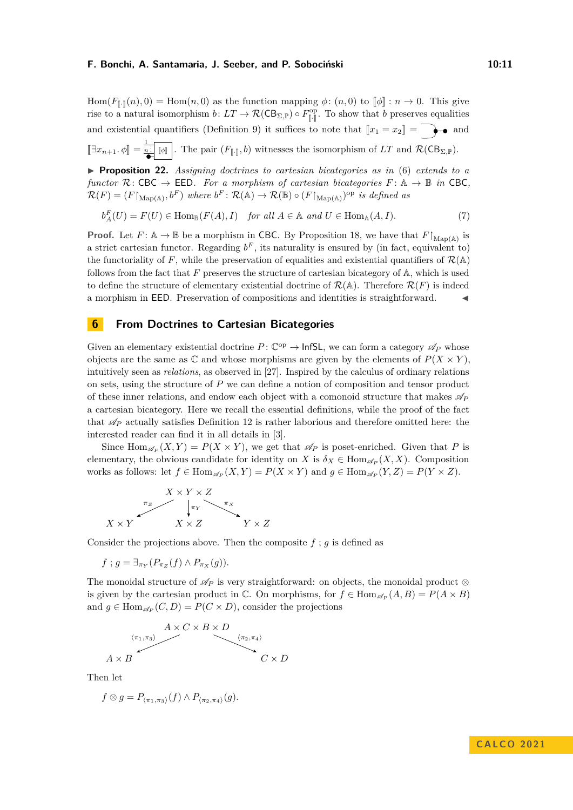Hom( $F_{\llbracket \cdot \rrbracket}(n),0) = \text{Hom}(n,0)$  as the function mapping  $\phi: (n,0)$  to  $\llbracket \phi \rrbracket : n \to 0$ . This give rise to a natural isomorphism  $b: LT \to \mathcal{R}(CB_{\Sigma,\mathbb{P}}) \circ F_{\mathbb{I}.\mathbb{I}}^{\text{op}}$  $\left[\begin{matrix}1\\ 1\end{matrix}\right]$ . To show that *b* preserves equalities and existential quantifiers (Definition [9\)](#page-5-2) it suffices to note that  $\llbracket x_1 = x_2 \rrbracket = \rightarrow \bullet$  and  $[\exists x_{n+1}, \phi] = \frac{1}{\bullet} [\![\phi]\!]$  $\frac{n!}{\bullet}$  [ $\phi$ ]. The pair  $(F_{\llbracket \cdot \rrbracket}, b)$  witnesses the isomorphism of *LT* and  $\mathcal{R}(\mathsf{CB}_{\Sigma, \mathbb{P}})$ . ▶ **Proposition 22.** *Assigning doctrines to cartesian bicategories as in* [\(6\)](#page-9-0) *extends to a*

*functor*  $\mathcal{R}:$  CBC  $\rightarrow$  EED*. For a morphism of cartesian bicategories*  $F:$   $\mathbb{A} \rightarrow \mathbb{B}$  *in* CBC,  $\mathcal{R}(F) = (F\upharpoonright_{\text{Map}(\mathbb{A})}, b^F)$  where  $b^F \colon \mathcal{R}(\mathbb{A}) \to \mathcal{R}(\mathbb{B}) \circ (F\upharpoonright_{\text{Map}(\mathbb{A})})^{\text{op}}$  *is defined as* 

$$
b_A^F(U) = F(U) \in \text{Hom}_{\mathbb{B}}(F(A), I) \quad \text{for all } A \in \mathbb{A} \text{ and } U \in \text{Hom}_{\mathbb{A}}(A, I). \tag{7}
$$

**Proof.** Let  $F: \mathbb{A} \to \mathbb{B}$  be a morphism in CBC. By Proposition [18,](#page-7-4) we have that  $F \upharpoonright_{\text{Map}(\mathbb{A})}$  is a strict cartesian functor. Regarding  $b^F$ , its naturality is ensured by (in fact, equivalent to) the functoriality of *F*, while the preservation of equalities and existential quantifiers of  $\mathcal{R}(\mathbb{A})$ follows from the fact that *F* preserves the structure of cartesian bicategory of A, which is used to define the structure of elementary existential doctrine of  $\mathcal{R}(\mathbb{A})$ . Therefore  $\mathcal{R}(F)$  is indeed a morphism in EED. Preservation of compositions and identities is straightforward.  $\blacktriangleleft$ 

## <span id="page-10-0"></span>**6 From Doctrines to Cartesian Bicategories**

Given an elementary existential doctrine  $P: \mathbb{C}^{op} \to \text{InfSL}$ , we can form a category  $\mathscr{A}_P$  whose objects are the same as  $\mathbb C$  and whose morphisms are given by the elements of  $P(X \times Y)$ , intuitively seen as *relations*, as observed in [\[27\]](#page-16-12). Inspired by the calculus of ordinary relations on sets, using the structure of *P* we can define a notion of composition and tensor product of these inner relations, and endow each object with a comonoid structure that makes  $\mathscr{A}_P$ a cartesian bicategory. Here we recall the essential definitions, while the proof of the fact that  $\mathscr{A}_P$  actually satisfies Definition [12](#page-5-1) is rather laborious and therefore omitted here: the interested reader can find it in all details in [\[3\]](#page-15-10).

Since  $\text{Hom}_{\mathscr{A}_P}(X, Y) = P(X \times Y)$ , we get that  $\mathscr{A}_P$  is poset-enriched. Given that P is elementary, the obvious candidate for identity on *X* is  $\delta_X \in \text{Hom}_{\mathscr{A}_P}(X, X)$ . Composition works as follows: let  $f \in \text{Hom}_{\mathscr{A}_P}(X, Y) = P(X \times Y)$  and  $g \in \text{Hom}_{\mathscr{A}_P}(Y, Z) = P(Y \times Z)$ .

$$
X \times Y \times Z
$$
\n
$$
\uparrow_{\pi_X} \qquad \qquad \uparrow_{\pi_X} \qquad \qquad \uparrow_{\pi_X}
$$
\n
$$
X \times Y \qquad \qquad X \times Z \qquad \qquad Y \times Z
$$

Consider the projections above. Then the composite  $f$ ;  $g$  is defined as

 $f$ ;  $g = \exists_{\pi_Y} (P_{\pi_Z}(f) \wedge P_{\pi_X}(g)).$ 

The monoidal structure of  $\mathscr{A}_P$  is very straightforward: on objects, the monoidal product ⊗ is given by the cartesian product in  $\mathbb{C}$ . On morphisms, for  $f \in \text{Hom}_{\mathscr{A}_P}(A, B) = P(A \times B)$ and  $g \in \text{Hom}_{\mathscr{A}_P}(C, D) = P(C \times D)$ , consider the projections

$$
A \times C \times B \times D
$$
  
\n
$$
\langle \pi_1, \pi_3 \rangle
$$
  
\n
$$
A \times B
$$
  
\n
$$
A \times B
$$
  
\n
$$
C \times D
$$
  
\n
$$
C \times D
$$

Then let

$$
f \otimes g = P_{\langle \pi_1, \pi_3 \rangle}(f) \wedge P_{\langle \pi_2, \pi_4 \rangle}(g).
$$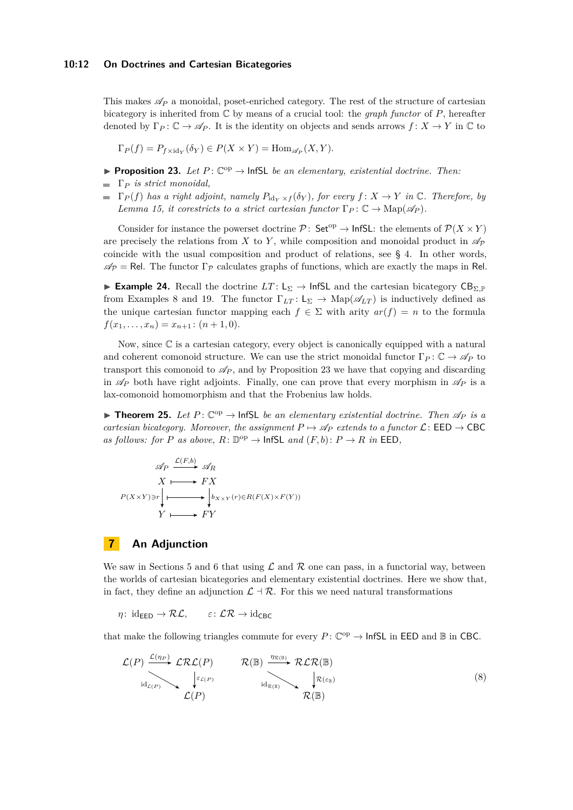This makes  $\mathscr{A}_P$  a monoidal, poset-enriched category. The rest of the structure of cartesian bicategory is inherited from C by means of a crucial tool: the *graph functor* of *P*, hereafter denoted by  $\Gamma_P : \mathbb{C} \to \mathscr{A}_P$ . It is the identity on objects and sends arrows  $f : X \to Y$  in  $\mathbb{C}$  to

 $\Gamma_P(f) = P_{f \times id_Y}(\delta_Y) \in P(X \times Y) = \text{Hom}_{\mathscr{A}_P}(X, Y).$ 

- <span id="page-11-0"></span>**• Proposition 23.** Let  $P: \mathbb{C}^{op} \to \text{InfSL}$  *be an elementary, existential doctrine. Then:*
- Γ*<sup>P</sup> is strict monoidal,*
- $\blacksquare$   $\Gamma_P(f)$  *has a right adjoint, namely*  $P_{\text{id}_Y \times f}(\delta_Y)$ *, for every*  $f: X \to Y$  *in*  $\mathbb C$ *. Therefore, by Lemma* [15,](#page-7-0) *it corestricts to a strict cartesian functor*  $\Gamma_P$ :  $\mathbb{C} \to \text{Map}(\mathscr{A}_P)$ *.*

Consider for instance the powerset doctrine  $\mathcal{P}$ : Set<sup>op</sup>  $\rightarrow$  lnfSL: the elements of  $\mathcal{P}(X \times Y)$ are precisely the relations from *X* to *Y*, while composition and monoidal product in  $\mathscr{A}_P$ coincide with the usual composition and product of relations, see § [4.](#page-5-3) In other words,  $\mathscr{A}_{\mathcal{P}} = \mathsf{Rel}$ . The functor  $\Gamma_{\mathcal{P}}$  calculates graphs of functions, which are exactly the maps in Rel.

**► Example 24.** Recall the doctrine  $LT: L_{\Sigma} \rightarrow$  InfSL and the cartesian bicategory  $CB_{\Sigma,F}$ from Examples [8](#page-4-1) and [19.](#page-7-3) The functor  $\Gamma_{LT}: L_{\Sigma} \to \text{Map}(\mathscr{A}_{LT})$  is inductively defined as the unique cartesian functor mapping each  $f \in \Sigma$  with arity  $ar(f) = n$  to the formula  $f(x_1, \ldots, x_n) = x_{n+1}$ :  $(n+1, 0)$ .

Now, since  $\mathbb C$  is a cartesian category, every object is canonically equipped with a natural and coherent comonoid structure. We can use the strict monoidal functor  $\Gamma_P : \mathbb{C} \to \mathscr{A}_P$  to transport this comonoid to  $\mathscr{A}_P$ , and by Proposition [23](#page-11-0) we have that copying and discarding in  $\mathscr{A}_P$  both have right adjoints. Finally, one can prove that every morphism in  $\mathscr{A}_P$  is a lax-comonoid homomorphism and that the Frobenius law holds.

▶ **Theorem 25.** Let  $P: \mathbb{C}^{op} \to \text{InfSL}$  be an elementary existential doctrine. Then  $\mathscr{A}_P$  is a *cartesian bicategory. Moreover, the assignment*  $P \mapsto \mathscr{A}_P$  *extends to a functor*  $\mathcal{L}$ : **EED**  $\rightarrow$  **CBC** *as follows: for P as above,*  $R: \mathbb{D}^{\text{op}} \to \text{InfSL}$  *and*  $(F, b): P \to R$  *in* EED,

$$
\mathscr{A}_P \xrightarrow{\mathcal{L}(F,b)} \mathscr{A}_R
$$
  

$$
X \longmapsto FX
$$
  

$$
P(X \times Y) \ni r \downarrow \longrightarrow \downarrow b_{X \times Y}(r) \in R(F(X) \times F(Y))
$$
  

$$
Y \longmapsto FY
$$

# **7 An Adjunction**

We saw in Sections [5](#page-8-1) and [6](#page-10-0) that using  $\mathcal L$  and  $\mathcal R$  one can pass, in a functorial way, between the worlds of cartesian bicategories and elementary existential doctrines. Here we show that, in fact, they define an adjunction  $\mathcal{L} \dashv \mathcal{R}$ . For this we need natural transformations

*η*: id<sub>EED</sub>  $\rightarrow \mathcal{RL}$ ,  $\varepsilon$ :  $\mathcal{LR} \rightarrow$  id<sub>CBC</sub>

that make the following triangles commute for every  $P: \mathbb{C}^{op} \to \mathsf{InfSL}$  in EED and  $\mathbb B$  in CBC.

<span id="page-11-1"></span>
$$
\mathcal{L}(P) \xrightarrow{\mathcal{L}(n_P)} \mathcal{L}\mathcal{R}\mathcal{L}(P) \qquad \mathcal{R}(\mathbb{B}) \xrightarrow{\eta_{\mathcal{R}(\mathbb{B})}} \mathcal{R}\mathcal{L}\mathcal{R}(\mathbb{B})
$$
\n
$$
\downarrow_{\text{id}_{\mathcal{L}(P)}} \qquad \qquad \downarrow_{\text{id}_{\mathcal{R}(\mathbb{B})}} \qquad \qquad \downarrow_{\text{Id}_{\mathcal{R}(\mathbb{B})}} \qquad \qquad \downarrow_{\text{Id}_{\mathcal{R}(\mathbb{B})}} \qquad (8)
$$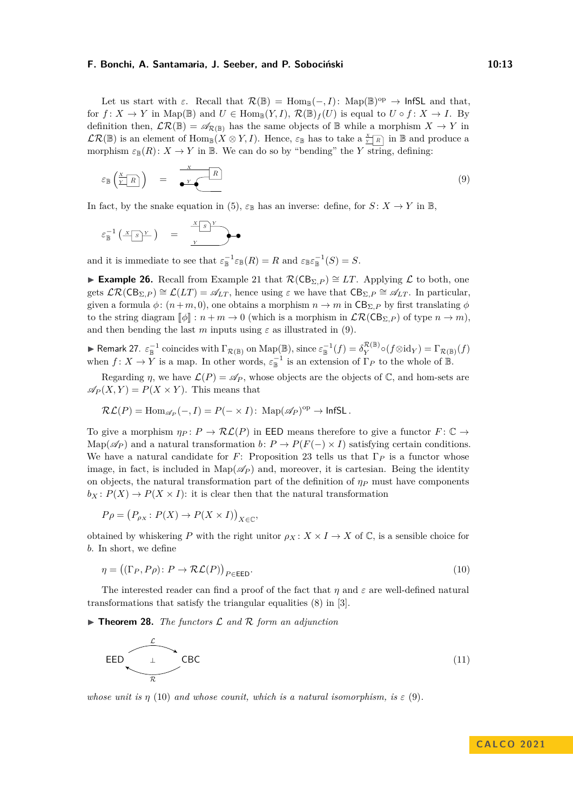Let us start with  $\varepsilon$ . Recall that  $\mathcal{R}(\mathbb{B}) = \text{Hom}_{\mathbb{B}}(-, I)$ : Map $(\mathbb{B})^{\text{op}} \to \text{InfSL}$  and that, for  $f: X \to Y$  in Map( $\mathbb{B}$ ) and  $U \in \text{Hom}_{\mathbb{B}}(Y, I)$ ,  $\mathcal{R}(\mathbb{B})_f(U)$  is equal to  $U \circ f: X \to I$ . By definition then,  $\mathcal{LR}(\mathbb{B}) = \mathscr{A}_{\mathcal{R}(\mathbb{B})}$  has the same objects of  $\mathbb{B}$  while a morphism  $X \to Y$  in  $\mathcal{LR}(\mathbb{B})$  is an element of  $\text{Hom}_{\mathbb{B}}(X \otimes Y, I)$ . Hence,  $\varepsilon_{\mathbb{B}}$  has to take a  $\frac{X}{Y \mid R}$  in  $\mathbb{B}$  and produce a morphism  $\varepsilon_{\mathbb{B}}(R) \colon X \to Y$  in  $\mathbb{B}$ . We can do so by "bending" the *Y* string, defining:

<span id="page-12-0"></span>
$$
\varepsilon_{\mathbb{B}}\left(\frac{X}{Y-R}\right) = \frac{X}{\bullet Y \bullet R} \tag{9}
$$

In fact, by the snake equation in [\(5\)](#page-6-5),  $\varepsilon_{\mathbb{B}}$  has an inverse: define, for  $S: X \to Y$  in  $\mathbb{B}$ ,

$$
\varepsilon_{\mathbb{B}}^{-1}\left(\frac{x \cdot s)^{Y}}{S}\right) = \frac{x \cdot s)^{Y}}{Y}
$$

and it is immediate to see that  $\varepsilon_{\mathbb{B}}^{-1} \varepsilon_{\mathbb{B}}(R) = R$  and  $\varepsilon_{\mathbb{B}} \varepsilon_{\mathbb{B}}^{-1}(S) = S$ .

**► Example 26.** Recall from Example [21](#page-9-1) that  $\mathcal{R}(CB_{\Sigma,P}) \cong LT$ . Applying  $\mathcal{L}$  to both, one gets  $\mathcal{LR}(CB_{\Sigma,P}) \cong \mathcal{L}(LT) = \mathscr{A}_{LT}$ , hence using  $\varepsilon$  we have that  $CB_{\Sigma,P} \cong \mathscr{A}_{LT}$ . In particular, given a formula  $\phi$ :  $(n+m, 0)$ , one obtains a morphism  $n \to m$  in  $CB_{\Sigma,P}$  by first translating  $\phi$ to the string diagram  $\llbracket \phi \rrbracket : n + m \to 0$  (which is a morphism in  $\mathcal{LR}(CB_{\Sigma,P})$  of type  $n \to m$ ), and then bending the last *m* inputs using  $\varepsilon$  as illustrated in [\(9\)](#page-12-0).

<span id="page-12-3"></span>► Remark 27.  $\varepsilon_{\mathbb{B}}^{-1}$  coincides with  $\Gamma_{\mathcal{R}(\mathbb{B})}$  on  $\mathrm{Map}(\mathbb{B})$ , since  $\varepsilon_{\mathbb{B}}^{-1}(f) = \delta_Y^{\mathcal{R}(\mathbb{B})}$  $\Pr_{Y}^{\mathcal{K}(\mathbb{B})} \circ (f \otimes id_Y) = \Gamma_{\mathcal{R}(\mathbb{B})}(f)$ when  $f: X \to Y$  is a map. In other words,  $\varepsilon_{\mathbb{B}}^{-1}$  is an extension of  $\Gamma_P$  to the whole of  $\mathbb{B}$ .

Regarding *η*, we have  $\mathcal{L}(P) = \mathcal{A}_P$ , whose objects are the objects of  $\mathbb{C}$ , and hom-sets are  $\mathscr{A}_P(X, Y) = P(X \times Y)$ . This means that

$$
\mathcal{RL}(P) = \text{Hom}_{\mathscr{A}_P}(-, I) = P(- \times I): \text{ Map}(\mathscr{A}_P)^{\text{op}} \to \text{InfSL}.
$$

To give a morphism  $\eta_P: P \to \mathcal{RL}(P)$  in EED means therefore to give a functor  $F: \mathbb{C} \to$ Map( $\mathscr{A}_P$ ) and a natural transformation *b*:  $P \to P(F(-) \times I)$  satisfying certain conditions. We have a natural candidate for *F*: Proposition [23](#page-11-0) tells us that  $\Gamma_P$  is a functor whose image, in fact, is included in  $\text{Map}(\mathscr{A}_P)$  and, moreover, it is cartesian. Being the identity on objects, the natural transformation part of the definition of  $\eta_P$  must have components  $b_X: P(X) \to P(X \times I)$ : it is clear then that the natural transformation

$$
P\rho = (P_{\rho_X} : P(X) \to P(X \times I))_{X \in \mathbb{C}},
$$

obtained by whiskering *P* with the right unitor  $\rho_X: X \times I \to X$  of  $\mathbb{C}$ , is a sensible choice for *b*. In short, we define

<span id="page-12-2"></span><span id="page-12-1"></span>
$$
\eta = ((\Gamma_P, P\rho) : P \to \mathcal{RL}(P))_{P \in \text{EED}}.
$$
\n(10)

The interested reader can find a proof of the fact that  $\eta$  and  $\varepsilon$  are well-defined natural transformations that satisfy the triangular equalities [\(8\)](#page-11-1) in [\[3\]](#page-15-10).

<span id="page-12-4"></span> $\triangleright$  **Theorem 28.** *The functors*  $\mathcal L$  *and*  $\mathcal R$  *form an adjunction* 



*whose unit is*  $\eta$  [\(10\)](#page-12-1) *and whose counit, which is a natural isomorphism, is*  $\varepsilon$  [\(9\)](#page-12-0).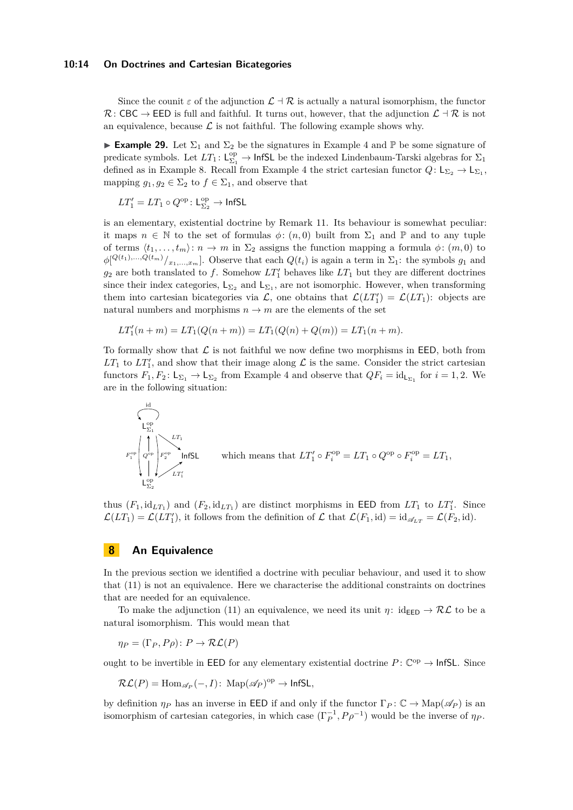#### **10:14 On Doctrines and Cartesian Bicategories**

Since the counit  $\varepsilon$  of the adjunction  $\mathcal{L} \dashv \mathcal{R}$  is actually a natural isomorphism, the functor  $\mathcal{R}:$  CBC  $\rightarrow$  EED is full and faithful. It turns out, however, that the adjunction  $\mathcal{L}$  +  $\mathcal{R}$  is not an equivalence, because  $\mathcal L$  is not faithful. The following example shows why.

<span id="page-13-0"></span>**Example 29.** Let  $\Sigma_1$  and  $\Sigma_2$  be the signatures in Example [4](#page-3-3) and P be some signature of predicate symbols. Let  $LT_1: \mathsf{L}^\mathrm{op}_{\Sigma_1} \to \mathsf{InfSL}$  be the indexed Lindenbaum-Tarski algebras for  $\Sigma_1$ defined as in Example [8.](#page-4-1) Recall from Example [4](#page-3-3) the strict cartesian functor  $Q: \mathsf{L}_{\Sigma_2} \to \mathsf{L}_{\Sigma_1}$ , mapping  $g_1, g_2 \in \Sigma_2$  to  $f \in \Sigma_1$ , and observe that

$$
LT_1' = LT_1 \circ Q^\mathrm{op} \colon \mathrm{L}^\mathrm{op}_{\Sigma_2} \to \mathsf{InfSL}
$$

is an elementary, existential doctrine by Remark [11.](#page-5-4) Its behaviour is somewhat peculiar: it maps  $n \in \mathbb{N}$  to the set of formulas  $\phi: (n, 0)$  built from  $\Sigma_1$  and  $\mathbb P$  and to any tuple of terms  $\langle t_1, \ldots, t_m \rangle : n \to m$  in  $\Sigma_2$  assigns the function mapping a formula  $\phi : (m, 0)$  to  $\phi[Q^{(t_1),...,Q(t_m)}/Z_{1},...,Z_m]$ . Observe that each  $Q(t_i)$  is again a term in  $\Sigma_1$ : the symbols  $g_1$  and  $g_2$  are both translated to  $f$ . Somehow  $LT'_1$  behaves like  $LT_1$  but they are different doctrines since their index categories,  $\mathsf{L}_{\Sigma_2}$  and  $\mathsf{L}_{\Sigma_1}$ , are not isomorphic. However, when transforming them into cartesian bicategories via  $\mathcal{L}$ , one obtains that  $\mathcal{L}(LT'_1) = \mathcal{L}(LT_1)$ : objects are natural numbers and morphisms  $n \to m$  are the elements of the set

$$
LT'_{1}(n+m) = LT_{1}(Q(n+m)) = LT_{1}(Q(n) + Q(m)) = LT_{1}(n+m).
$$

To formally show that  $\mathcal L$  is not faithful we now define two morphisms in EED, both from  $LT_1$  to  $LT'_1$ , and show that their image along  $\mathcal L$  is the same. Consider the strict cartesian functors  $F_1, F_2: \mathsf{L}_{\Sigma_1} \to \mathsf{L}_{\Sigma_2}$  from Example [4](#page-3-3) and observe that  $QF_i = \mathrm{id}_{\mathsf{L}_{\Sigma_1}}$  for  $i = 1, 2$ . We are in the following situation:



which means that 
$$
LT'_1 \circ F_i^{\text{op}} = LT_1 \circ Q^{\text{op}} \circ F_i^{\text{op}} = LT_1
$$
,

thus  $(F_1, id_{LT_1})$  and  $(F_2, id_{LT_1})$  are distinct morphisms in EED from  $LT_1$  to  $LT'_1$ . Since  $\mathcal{L}(LT_1) = \mathcal{L}(LT'_1)$ , it follows from the definition of  $\mathcal{L}$  that  $\mathcal{L}(F_1, id) = id_{\mathscr{A}_{LT}} = \mathcal{L}(F_2, id)$ *.* 

## **8 An Equivalence**

In the previous section we identified a doctrine with peculiar behaviour, and used it to show that [\(11\)](#page-12-2) is not an equivalence. Here we characterise the additional constraints on doctrines that are needed for an equivalence.

To make the adjunction [\(11\)](#page-12-2) an equivalence, we need its unit  $\eta: id_{\text{EED}} \to \mathcal{RL}$  to be a natural isomorphism. This would mean that

$$
\eta_P = (\Gamma_P, P\rho) \colon P \to \mathcal{RL}(P)
$$

ought to be invertible in EED for any elementary existential doctrine  $P: \mathbb{C}^{op} \to \text{InfSL}$ . Since

$$
\mathcal{RL}(P) = \text{Hom}_{\mathscr{A}_P}(-, I): \text{Map}(\mathscr{A}_P)^{\text{op}} \to \text{InfSL},
$$

by definition  $\eta_P$  has an inverse in EED if and only if the functor  $\Gamma_P : \mathbb{C} \to \text{Map}(\mathscr{A}_P)$  is an isomorphism of cartesian categories, in which case  $(\Gamma_P^{-1}, P \rho^{-1})$  would be the inverse of  $\eta_P$ .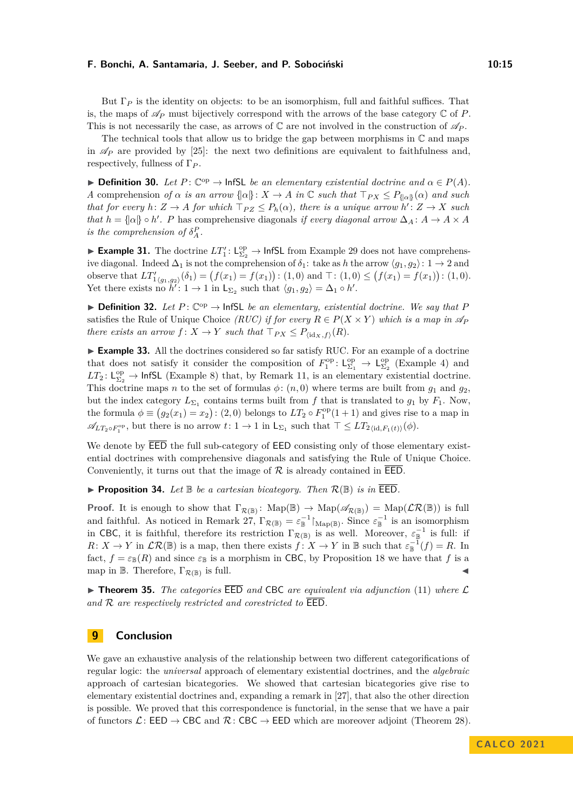But  $\Gamma_P$  is the identity on objects: to be an isomorphism, full and faithful suffices. That is, the maps of  $\mathscr{A}_P$  must bijectively correspond with the arrows of the base category  $\mathbb C$  of  $P$ . This is not necessarily the case, as arrows of  $\mathbb C$  are not involved in the construction of  $\mathscr{A}_P$ .

The technical tools that allow us to bridge the gap between morphisms in  $\mathbb C$  and maps in  $\mathscr{A}_P$  are provided by [\[25\]](#page-16-17): the next two definitions are equivalent to faithfulness and, respectively, fullness of Γ*<sup>P</sup>* .

**► Definition 30.** Let  $P: \mathbb{C}^{op} \to$  InfSL *be an elementary existential doctrine and*  $\alpha \in P(A)$ *. A* comprehension *of*  $\alpha$  *is an arrow*  $\{\alpha\}: X \to A$  *in*  $\mathbb{C}$  *such that*  $\top_{PX} \leq P_{\{\alpha\}}(\alpha)$  *and such that for every*  $h: Z \to A$  *for which*  $\top_{PZ} \leq P_h(\alpha)$ *, there is a unique arrow*  $h': Z \to X$  *such that*  $h = \{\alpha\} \circ h'.$  *P* has comprehensive diagonals *if every diagonal arrow*  $\Delta_A : A \to A \times A$ *is the comprehension of*  $\delta_A^P$ .

► **Example 31.** The doctrine  $LT'_1: L^{\text{op}}_{\Sigma_2} \to \text{InfSL}$  from Example [29](#page-13-0) does not have comprehensive diagonal. Indeed  $\Delta_1$  is not the comprehension of  $\delta_1$ : take as *h* the arrow  $\langle g_1, g_2 \rangle$ : 1 → 2 and observe that  $LT'_{1\langle g_1, g_2 \rangle}(\delta_1) = (f(x_1) = f(x_1)) : (1, 0)$  and  $\top : (1, 0) \le (f(x_1) = f(x_1)) : (1, 0)$ . Yet there exists no  $h'$ :  $1 \to 1$  in  $\mathsf{L}_{\Sigma_2}$  such that  $\langle g_1, g_2 \rangle = \Delta_1 \circ h'$ .

▶ **Definition 32.** Let  $P: \mathbb{C}^{op} \to \text{InfSL}$  be an elementary, existential doctrine. We say that P satisfies the Rule of Unique Choice *(RUC)* if for every  $R \in P(X \times Y)$  which is a map in  $\mathscr{A}_P$ *there exists an arrow*  $f: X \to Y$  *such that*  $\top_{PX} \leq P_{\langle id_X, f \rangle}(R)$ *.* 

▶ **Example 33.** All the doctrines considered so far satisfy RUC. For an example of a doctrine that does not satisfy it consider the composition of  $F_1^{\text{op}}: \mathsf{L}^{\text{op}}_{\Sigma_1} \to \mathsf{L}^{\text{op}}_{\Sigma_2}$  (Example [4\)](#page-3-3) and  $LT_2: L_{\Sigma_2}^{\rm op} \rightarrow$  InfSL (Example [8\)](#page-4-1) that, by Remark [11,](#page-5-4) is an elementary existential doctrine. This doctrine maps *n* to the set of formulas  $\phi$ :  $(n,0)$  where terms are built from  $g_1$  and  $g_2$ , but the index category  $L_{\Sigma_1}$  contains terms built from *f* that is translated to  $g_1$  by  $F_1$ . Now, the formula  $\phi \equiv (g_2(x_1) = x_2)$ : (2,0) belongs to  $LT_2 \circ F_1^{\text{op}}(1+1)$  and gives rise to a map in  $\mathscr{A}_{LT_2 \circ F_1^{\mathrm{op}}},$  but there is no arrow  $t: 1 \to 1$  in  $\mathsf{L}_{\Sigma_1}$  such that  $\top \leq LT_{2\langle \mathrm{id}, F_1(t) \rangle}(\phi)$ .

We denote by  $\overline{\mathsf{EED}}$  the full sub-category of  $\mathsf{EED}$  consisting only of those elementary existential doctrines with comprehensive diagonals and satisfying the Rule of Unique Choice. Conveniently, it turns out that the image of  $R$  is already contained in  $\overline{\mathsf{EED}}$ .

**• Proposition 34.** Let  $\mathbb B$  be a cartesian bicategory. Then  $\mathcal R(\mathbb B)$  is in  $\overline{\mathsf{EED}}$ .

**Proof.** It is enough to show that  $\Gamma_{\mathcal{R}(\mathbb{B})}$ :  $\text{Map}(\mathbb{B}) \to \text{Map}(\mathscr{A}_{\mathcal{R}(\mathbb{B})}) = \text{Map}(\mathcal{LR}(\mathbb{B}))$  is full and faithful. As noticed in Remark  $27, \Gamma_{\mathcal{R}(\mathbb{B})} = \varepsilon_{\mathbb{B}}^{-1} \upharpoonright_{\mathrm{Map}(\mathbb{B})}$ . Since  $\varepsilon_{\mathbb{B}}^{-1}$  is an isomorphism in CBC, it is faithful, therefore its restriction  $\Gamma_{\mathcal{R}(\mathbb{B})}$  is as well. Moreover,  $\varepsilon_{\mathbb{B}}^{-1}$  is full: if  $R: X \to Y$  in  $\mathcal{LR}(\mathbb{B})$  is a map, then there exists  $f: X \to Y$  in  $\mathbb{B}$  such that  $\varepsilon_{\mathbb{B}}^{-1}(f) = R$ . In fact,  $f = \varepsilon_{\mathbb{B}}(R)$  and since  $\varepsilon_{\mathbb{B}}$  is a morphism in CBC, by Proposition [18](#page-7-4) we have that f is a map in  $\mathbb B$ . Therefore,  $\Gamma_{\mathcal{R}(\mathbb{B})}$  is full. is full.  $\blacktriangleleft$ 

<span id="page-14-0"></span> $\triangleright$  **Theorem 35.** The categories **EED** and **CBC** are equivalent via adjunction [\(11\)](#page-12-2) where  $\mathcal{L}$ *and* R *are respectively restricted and corestricted to* EED*.*

## **9 Conclusion**

We gave an exhaustive analysis of the relationship between two different categorifications of regular logic: the *universal* approach of elementary existential doctrines, and the *algebraic* approach of cartesian bicategories. We showed that cartesian bicategories give rise to elementary existential doctrines and, expanding a remark in [\[27\]](#page-16-12), that also the other direction is possible. We proved that this correspondence is functorial, in the sense that we have a pair of functors  $\mathcal{L} \colon \mathsf{EED} \to \mathsf{CBC}$  and  $\mathcal{R} \colon \mathsf{CBC} \to \mathsf{EED}$  which are moreover adjoint (Theorem [28\)](#page-12-4).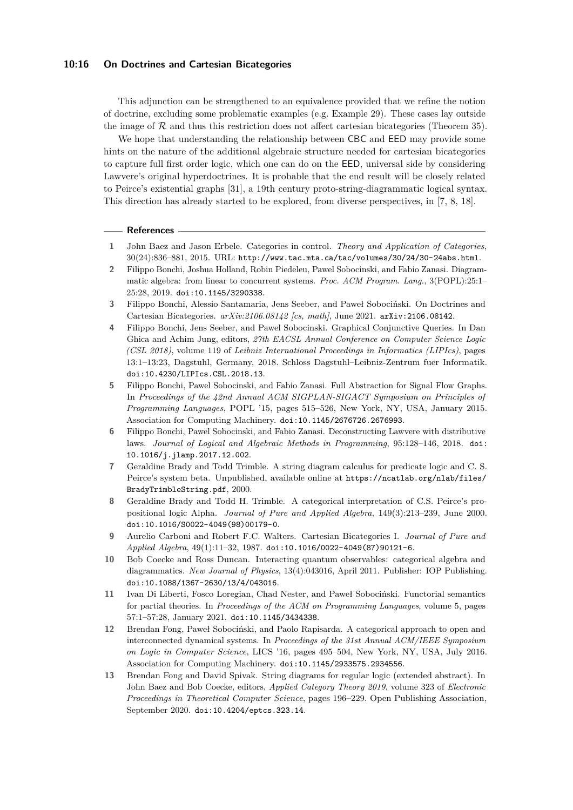#### **10:16 On Doctrines and Cartesian Bicategories**

This adjunction can be strengthened to an equivalence provided that we refine the notion of doctrine, excluding some problematic examples (e.g. Example [29\)](#page-13-0). These cases lay outside the image of  $R$  and thus this restriction does not affect cartesian bicategories (Theorem [35\)](#page-14-0).

We hope that understanding the relationship between CBC and EED may provide some hints on the nature of the additional algebraic structure needed for cartesian bicategories to capture full first order logic, which one can do on the EED, universal side by considering Lawvere's original hyperdoctrines. It is probable that the end result will be closely related to Peirce's existential graphs [\[31\]](#page-16-18), a 19th century proto-string-diagrammatic logical syntax. This direction has already started to be explored, from diverse perspectives, in [\[7,](#page-15-11) [8,](#page-15-12) [18\]](#page-16-19).

#### **References**

- <span id="page-15-0"></span>**1** John Baez and Jason Erbele. Categories in control. *Theory and Application of Categories*, 30(24):836–881, 2015. URL: <http://www.tac.mta.ca/tac/volumes/30/24/30-24abs.html>.
- <span id="page-15-1"></span>**2** Filippo Bonchi, Joshua Holland, Robin Piedeleu, Pawel Sobocinski, and Fabio Zanasi. Diagrammatic algebra: from linear to concurrent systems. *Proc. ACM Program. Lang.*, 3(POPL):25:1– 25:28, 2019. [doi:10.1145/3290338](https://doi.org/10.1145/3290338).
- <span id="page-15-10"></span>**3** Filippo Bonchi, Alessio Santamaria, Jens Seeber, and Paweł Sobociński. On Doctrines and Cartesian Bicategories. *arXiv:2106.08142 [cs, math]*, June 2021. [arXiv:2106.08142](http://arxiv.org/abs/2106.08142).
- <span id="page-15-9"></span>**4** Filippo Bonchi, Jens Seeber, and Pawel Sobocinski. Graphical Conjunctive Queries. In Dan Ghica and Achim Jung, editors, *27th EACSL Annual Conference on Computer Science Logic (CSL 2018)*, volume 119 of *Leibniz International Proceedings in Informatics (LIPIcs)*, pages 13:1–13:23, Dagstuhl, Germany, 2018. Schloss Dagstuhl–Leibniz-Zentrum fuer Informatik. [doi:10.4230/LIPIcs.CSL.2018.13](https://doi.org/10.4230/LIPIcs.CSL.2018.13).
- <span id="page-15-2"></span>**5** Filippo Bonchi, Pawel Sobocinski, and Fabio Zanasi. Full Abstraction for Signal Flow Graphs. In *Proceedings of the 42nd Annual ACM SIGPLAN-SIGACT Symposium on Principles of Programming Languages*, POPL '15, pages 515–526, New York, NY, USA, January 2015. Association for Computing Machinery. [doi:10.1145/2676726.2676993](https://doi.org/10.1145/2676726.2676993).
- <span id="page-15-6"></span>**6** Filippo Bonchi, Pawel Sobocinski, and Fabio Zanasi. Deconstructing Lawvere with distributive laws. *Journal of Logical and Algebraic Methods in Programming*, 95:128–146, 2018. [doi:](https://doi.org/10.1016/j.jlamp.2017.12.002) [10.1016/j.jlamp.2017.12.002](https://doi.org/10.1016/j.jlamp.2017.12.002).
- <span id="page-15-11"></span>**7** Geraldine Brady and Todd Trimble. A string diagram calculus for predicate logic and C. S. Peirce's system beta. Unpublished, available online at [https://ncatlab.org/nlab/files/](https://ncatlab.org/nlab/files/BradyTrimbleString.pdf) [BradyTrimbleString.pdf](https://ncatlab.org/nlab/files/BradyTrimbleString.pdf), 2000.
- <span id="page-15-12"></span>**8** Geraldine Brady and Todd H. Trimble. A categorical interpretation of C.S. Peirce's propositional logic Alpha. *Journal of Pure and Applied Algebra*, 149(3):213–239, June 2000. [doi:10.1016/S0022-4049\(98\)00179-0](https://doi.org/10.1016/S0022-4049(98)00179-0).
- <span id="page-15-8"></span>**9** Aurelio Carboni and Robert F.C. Walters. Cartesian Bicategories I. *Journal of Pure and Applied Algebra*, 49(1):11–32, 1987. [doi:10.1016/0022-4049\(87\)90121-6](https://doi.org/10.1016/0022-4049(87)90121-6).
- <span id="page-15-3"></span>**10** Bob Coecke and Ross Duncan. Interacting quantum observables: categorical algebra and diagrammatics. *New Journal of Physics*, 13(4):043016, April 2011. Publisher: IOP Publishing. [doi:10.1088/1367-2630/13/4/043016](https://doi.org/10.1088/1367-2630/13/4/043016).
- <span id="page-15-7"></span>**11** Ivan Di Liberti, Fosco Loregian, Chad Nester, and Paweł Sobociński. Functorial semantics for partial theories. In *Proceedings of the ACM on Programming Languages*, volume 5, pages 57:1–57:28, January 2021. [doi:10.1145/3434338](https://doi.org/10.1145/3434338).
- <span id="page-15-4"></span>**12** Brendan Fong, Paweł Sobociński, and Paolo Rapisarda. A categorical approach to open and interconnected dynamical systems. In *Proceedings of the 31st Annual ACM/IEEE Symposium on Logic in Computer Science*, LICS '16, pages 495–504, New York, NY, USA, July 2016. Association for Computing Machinery. [doi:10.1145/2933575.2934556](https://doi.org/10.1145/2933575.2934556).
- <span id="page-15-5"></span>**13** Brendan Fong and David Spivak. String diagrams for regular logic (extended abstract). In John Baez and Bob Coecke, editors, *Applied Category Theory 2019*, volume 323 of *Electronic Proceedings in Theoretical Computer Science*, pages 196–229. Open Publishing Association, September 2020. [doi:10.4204/eptcs.323.14](https://doi.org/10.4204/eptcs.323.14).